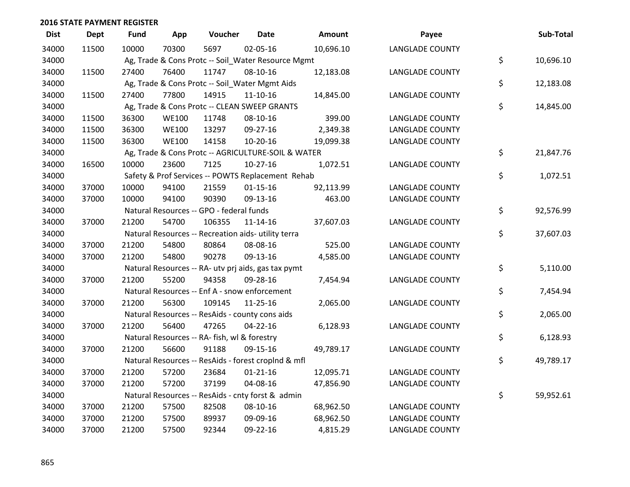| <b>Dist</b> | <b>Dept</b> | Fund  | App          | Voucher                                             | <b>Date</b>    | <b>Amount</b> | Payee                  | Sub-Total       |
|-------------|-------------|-------|--------------|-----------------------------------------------------|----------------|---------------|------------------------|-----------------|
| 34000       | 11500       | 10000 | 70300        | 5697                                                | 02-05-16       | 10,696.10     | <b>LANGLADE COUNTY</b> |                 |
| 34000       |             |       |              | Ag, Trade & Cons Protc -- Soil_Water Resource Mgmt  |                |               |                        | \$<br>10,696.10 |
| 34000       | 11500       | 27400 | 76400        | 11747                                               | 08-10-16       | 12,183.08     | <b>LANGLADE COUNTY</b> |                 |
| 34000       |             |       |              | Ag, Trade & Cons Protc -- Soil_Water Mgmt Aids      |                |               |                        | \$<br>12,183.08 |
| 34000       | 11500       | 27400 | 77800        | 14915                                               | $11 - 10 - 16$ | 14,845.00     | <b>LANGLADE COUNTY</b> |                 |
| 34000       |             |       |              | Ag, Trade & Cons Protc -- CLEAN SWEEP GRANTS        |                |               |                        | \$<br>14,845.00 |
| 34000       | 11500       | 36300 | <b>WE100</b> | 11748                                               | 08-10-16       | 399.00        | <b>LANGLADE COUNTY</b> |                 |
| 34000       | 11500       | 36300 | <b>WE100</b> | 13297                                               | 09-27-16       | 2,349.38      | <b>LANGLADE COUNTY</b> |                 |
| 34000       | 11500       | 36300 | <b>WE100</b> | 14158                                               | 10-20-16       | 19,099.38     | <b>LANGLADE COUNTY</b> |                 |
| 34000       |             |       |              | Ag, Trade & Cons Protc -- AGRICULTURE-SOIL & WATER  |                |               |                        | \$<br>21,847.76 |
| 34000       | 16500       | 10000 | 23600        | 7125                                                | $10-27-16$     | 1,072.51      | <b>LANGLADE COUNTY</b> |                 |
| 34000       |             |       |              | Safety & Prof Services -- POWTS Replacement Rehab   |                |               |                        | \$<br>1,072.51  |
| 34000       | 37000       | 10000 | 94100        | 21559                                               | $01 - 15 - 16$ | 92,113.99     | <b>LANGLADE COUNTY</b> |                 |
| 34000       | 37000       | 10000 | 94100        | 90390                                               | 09-13-16       | 463.00        | <b>LANGLADE COUNTY</b> |                 |
| 34000       |             |       |              | Natural Resources -- GPO - federal funds            |                |               |                        | \$<br>92,576.99 |
| 34000       | 37000       | 21200 | 54700        | 106355                                              | $11 - 14 - 16$ | 37,607.03     | <b>LANGLADE COUNTY</b> |                 |
| 34000       |             |       |              | Natural Resources -- Recreation aids- utility terra |                |               |                        | \$<br>37,607.03 |
| 34000       | 37000       | 21200 | 54800        | 80864                                               | 08-08-16       | 525.00        | <b>LANGLADE COUNTY</b> |                 |
| 34000       | 37000       | 21200 | 54800        | 90278                                               | 09-13-16       | 4,585.00      | <b>LANGLADE COUNTY</b> |                 |
| 34000       |             |       |              | Natural Resources -- RA- utv prj aids, gas tax pymt |                |               |                        | \$<br>5,110.00  |
| 34000       | 37000       | 21200 | 55200        | 94358                                               | 09-28-16       | 7,454.94      | <b>LANGLADE COUNTY</b> |                 |
| 34000       |             |       |              | Natural Resources -- Enf A - snow enforcement       |                |               |                        | \$<br>7,454.94  |
| 34000       | 37000       | 21200 | 56300        | 109145                                              | 11-25-16       | 2,065.00      | <b>LANGLADE COUNTY</b> |                 |
| 34000       |             |       |              | Natural Resources -- ResAids - county cons aids     |                |               |                        | \$<br>2,065.00  |
| 34000       | 37000       | 21200 | 56400        | 47265                                               | $04 - 22 - 16$ | 6,128.93      | <b>LANGLADE COUNTY</b> |                 |
| 34000       |             |       |              | Natural Resources -- RA- fish, wl & forestry        |                |               |                        | \$<br>6,128.93  |
| 34000       | 37000       | 21200 | 56600        | 91188                                               | 09-15-16       | 49,789.17     | <b>LANGLADE COUNTY</b> |                 |
| 34000       |             |       |              | Natural Resources -- ResAids - forest croplnd & mfl |                |               |                        | \$<br>49,789.17 |
| 34000       | 37000       | 21200 | 57200        | 23684                                               | $01 - 21 - 16$ | 12,095.71     | <b>LANGLADE COUNTY</b> |                 |
| 34000       | 37000       | 21200 | 57200        | 37199                                               | 04-08-16       | 47,856.90     | <b>LANGLADE COUNTY</b> |                 |
| 34000       |             |       |              | Natural Resources -- ResAids - cnty forst & admin   |                |               |                        | \$<br>59,952.61 |
| 34000       | 37000       | 21200 | 57500        | 82508                                               | 08-10-16       | 68,962.50     | <b>LANGLADE COUNTY</b> |                 |
| 34000       | 37000       | 21200 | 57500        | 89937                                               | 09-09-16       | 68,962.50     | <b>LANGLADE COUNTY</b> |                 |
| 34000       | 37000       | 21200 | 57500        | 92344                                               | 09-22-16       | 4,815.29      | <b>LANGLADE COUNTY</b> |                 |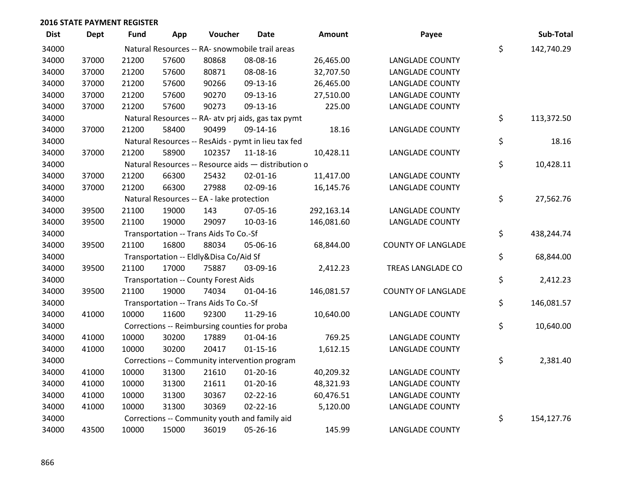| <b>Dist</b> | <b>Dept</b> | Fund  | App   | Voucher                                     | <b>Date</b>                                         | <b>Amount</b> | Payee                     | Sub-Total        |
|-------------|-------------|-------|-------|---------------------------------------------|-----------------------------------------------------|---------------|---------------------------|------------------|
| 34000       |             |       |       |                                             | Natural Resources -- RA- snowmobile trail areas     |               |                           | \$<br>142,740.29 |
| 34000       | 37000       | 21200 | 57600 | 80868                                       | 08-08-16                                            | 26,465.00     | <b>LANGLADE COUNTY</b>    |                  |
| 34000       | 37000       | 21200 | 57600 | 80871                                       | 08-08-16                                            | 32,707.50     | <b>LANGLADE COUNTY</b>    |                  |
| 34000       | 37000       | 21200 | 57600 | 90266                                       | 09-13-16                                            | 26,465.00     | <b>LANGLADE COUNTY</b>    |                  |
| 34000       | 37000       | 21200 | 57600 | 90270                                       | 09-13-16                                            | 27,510.00     | <b>LANGLADE COUNTY</b>    |                  |
| 34000       | 37000       | 21200 | 57600 | 90273                                       | 09-13-16                                            | 225.00        | <b>LANGLADE COUNTY</b>    |                  |
| 34000       |             |       |       |                                             | Natural Resources -- RA- atv prj aids, gas tax pymt |               |                           | \$<br>113,372.50 |
| 34000       | 37000       | 21200 | 58400 | 90499                                       | 09-14-16                                            | 18.16         | <b>LANGLADE COUNTY</b>    |                  |
| 34000       |             |       |       |                                             | Natural Resources -- ResAids - pymt in lieu tax fed |               |                           | \$<br>18.16      |
| 34000       | 37000       | 21200 | 58900 | 102357                                      | 11-18-16                                            | 10,428.11     | <b>LANGLADE COUNTY</b>    |                  |
| 34000       |             |       |       |                                             | Natural Resources -- Resource aids - distribution o |               |                           | \$<br>10,428.11  |
| 34000       | 37000       | 21200 | 66300 | 25432                                       | $02 - 01 - 16$                                      | 11,417.00     | <b>LANGLADE COUNTY</b>    |                  |
| 34000       | 37000       | 21200 | 66300 | 27988                                       | 02-09-16                                            | 16,145.76     | <b>LANGLADE COUNTY</b>    |                  |
| 34000       |             |       |       | Natural Resources -- EA - lake protection   |                                                     |               |                           | \$<br>27,562.76  |
| 34000       | 39500       | 21100 | 19000 | 143                                         | 07-05-16                                            | 292,163.14    | <b>LANGLADE COUNTY</b>    |                  |
| 34000       | 39500       | 21100 | 19000 | 29097                                       | 10-03-16                                            | 146,081.60    | <b>LANGLADE COUNTY</b>    |                  |
| 34000       |             |       |       | Transportation -- Trans Aids To Co.-Sf      |                                                     |               |                           | \$<br>438,244.74 |
| 34000       | 39500       | 21100 | 16800 | 88034                                       | 05-06-16                                            | 68,844.00     | <b>COUNTY OF LANGLADE</b> |                  |
| 34000       |             |       |       | Transportation -- Eldly&Disa Co/Aid Sf      |                                                     |               |                           | \$<br>68,844.00  |
| 34000       | 39500       | 21100 | 17000 | 75887                                       | 03-09-16                                            | 2,412.23      | TREAS LANGLADE CO         |                  |
| 34000       |             |       |       | <b>Transportation -- County Forest Aids</b> |                                                     |               |                           | \$<br>2,412.23   |
| 34000       | 39500       | 21100 | 19000 | 74034                                       | $01 - 04 - 16$                                      | 146,081.57    | <b>COUNTY OF LANGLADE</b> |                  |
| 34000       |             |       |       | Transportation -- Trans Aids To Co.-Sf      |                                                     |               |                           | \$<br>146,081.57 |
| 34000       | 41000       | 10000 | 11600 | 92300                                       | 11-29-16                                            | 10,640.00     | <b>LANGLADE COUNTY</b>    |                  |
| 34000       |             |       |       |                                             | Corrections -- Reimbursing counties for proba       |               |                           | \$<br>10,640.00  |
| 34000       | 41000       | 10000 | 30200 | 17889                                       | $01 - 04 - 16$                                      | 769.25        | <b>LANGLADE COUNTY</b>    |                  |
| 34000       | 41000       | 10000 | 30200 | 20417                                       | $01 - 15 - 16$                                      | 1,612.15      | <b>LANGLADE COUNTY</b>    |                  |
| 34000       |             |       |       |                                             | Corrections -- Community intervention program       |               |                           | \$<br>2,381.40   |
| 34000       | 41000       | 10000 | 31300 | 21610                                       | $01-20-16$                                          | 40,209.32     | <b>LANGLADE COUNTY</b>    |                  |
| 34000       | 41000       | 10000 | 31300 | 21611                                       | $01 - 20 - 16$                                      | 48,321.93     | <b>LANGLADE COUNTY</b>    |                  |
| 34000       | 41000       | 10000 | 31300 | 30367                                       | $02 - 22 - 16$                                      | 60,476.51     | <b>LANGLADE COUNTY</b>    |                  |
| 34000       | 41000       | 10000 | 31300 | 30369                                       | $02 - 22 - 16$                                      | 5,120.00      | <b>LANGLADE COUNTY</b>    |                  |
| 34000       |             |       |       |                                             | Corrections -- Community youth and family aid       |               |                           | \$<br>154,127.76 |
| 34000       | 43500       | 10000 | 15000 | 36019                                       | 05-26-16                                            | 145.99        | <b>LANGLADE COUNTY</b>    |                  |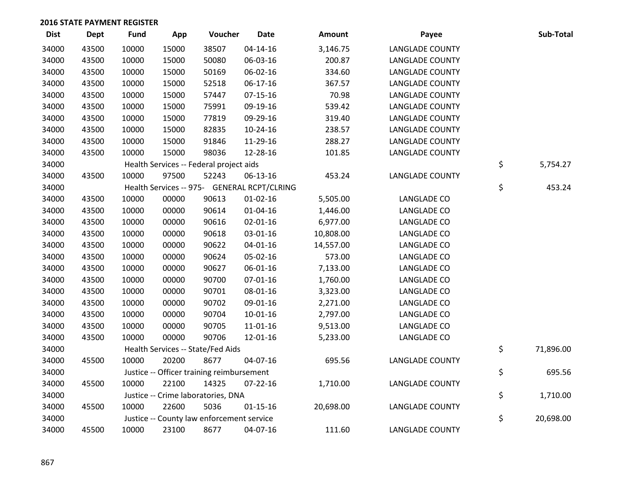| <b>Dist</b> | <b>Dept</b> | <b>Fund</b> | App   | Voucher                                     | <b>Date</b>    | Amount    | Payee                  | Sub-Total       |
|-------------|-------------|-------------|-------|---------------------------------------------|----------------|-----------|------------------------|-----------------|
| 34000       | 43500       | 10000       | 15000 | 38507                                       | $04 - 14 - 16$ | 3,146.75  | <b>LANGLADE COUNTY</b> |                 |
| 34000       | 43500       | 10000       | 15000 | 50080                                       | 06-03-16       | 200.87    | <b>LANGLADE COUNTY</b> |                 |
| 34000       | 43500       | 10000       | 15000 | 50169                                       | 06-02-16       | 334.60    | <b>LANGLADE COUNTY</b> |                 |
| 34000       | 43500       | 10000       | 15000 | 52518                                       | 06-17-16       | 367.57    | <b>LANGLADE COUNTY</b> |                 |
| 34000       | 43500       | 10000       | 15000 | 57447                                       | $07-15-16$     | 70.98     | <b>LANGLADE COUNTY</b> |                 |
| 34000       | 43500       | 10000       | 15000 | 75991                                       | 09-19-16       | 539.42    | <b>LANGLADE COUNTY</b> |                 |
| 34000       | 43500       | 10000       | 15000 | 77819                                       | 09-29-16       | 319.40    | <b>LANGLADE COUNTY</b> |                 |
| 34000       | 43500       | 10000       | 15000 | 82835                                       | 10-24-16       | 238.57    | <b>LANGLADE COUNTY</b> |                 |
| 34000       | 43500       | 10000       | 15000 | 91846                                       | 11-29-16       | 288.27    | <b>LANGLADE COUNTY</b> |                 |
| 34000       | 43500       | 10000       | 15000 | 98036                                       | 12-28-16       | 101.85    | <b>LANGLADE COUNTY</b> |                 |
| 34000       |             |             |       | Health Services -- Federal project aids     |                |           |                        | \$<br>5,754.27  |
| 34000       | 43500       | 10000       | 97500 | 52243                                       | 06-13-16       | 453.24    | <b>LANGLADE COUNTY</b> |                 |
| 34000       |             |             |       | Health Services -- 975- GENERAL RCPT/CLRING |                |           |                        | \$<br>453.24    |
| 34000       | 43500       | 10000       | 00000 | 90613                                       | $01 - 02 - 16$ | 5,505.00  | LANGLADE CO            |                 |
| 34000       | 43500       | 10000       | 00000 | 90614                                       | $01 - 04 - 16$ | 1,446.00  | LANGLADE CO            |                 |
| 34000       | 43500       | 10000       | 00000 | 90616                                       | $02 - 01 - 16$ | 6,977.00  | LANGLADE CO            |                 |
| 34000       | 43500       | 10000       | 00000 | 90618                                       | 03-01-16       | 10,808.00 | LANGLADE CO            |                 |
| 34000       | 43500       | 10000       | 00000 | 90622                                       | 04-01-16       | 14,557.00 | LANGLADE CO            |                 |
| 34000       | 43500       | 10000       | 00000 | 90624                                       | 05-02-16       | 573.00    | LANGLADE CO            |                 |
| 34000       | 43500       | 10000       | 00000 | 90627                                       | 06-01-16       | 7,133.00  | LANGLADE CO            |                 |
| 34000       | 43500       | 10000       | 00000 | 90700                                       | $07 - 01 - 16$ | 1,760.00  | LANGLADE CO            |                 |
| 34000       | 43500       | 10000       | 00000 | 90701                                       | 08-01-16       | 3,323.00  | LANGLADE CO            |                 |
| 34000       | 43500       | 10000       | 00000 | 90702                                       | 09-01-16       | 2,271.00  | LANGLADE CO            |                 |
| 34000       | 43500       | 10000       | 00000 | 90704                                       | $10-01-16$     | 2,797.00  | LANGLADE CO            |                 |
| 34000       | 43500       | 10000       | 00000 | 90705                                       | $11 - 01 - 16$ | 9,513.00  | LANGLADE CO            |                 |
| 34000       | 43500       | 10000       | 00000 | 90706                                       | 12-01-16       | 5,233.00  | LANGLADE CO            |                 |
| 34000       |             |             |       | Health Services -- State/Fed Aids           |                |           |                        | \$<br>71,896.00 |
| 34000       | 45500       | 10000       | 20200 | 8677                                        | 04-07-16       | 695.56    | <b>LANGLADE COUNTY</b> |                 |
| 34000       |             |             |       | Justice -- Officer training reimbursement   |                |           |                        | \$<br>695.56    |
| 34000       | 45500       | 10000       | 22100 | 14325                                       | $07 - 22 - 16$ | 1,710.00  | <b>LANGLADE COUNTY</b> |                 |
| 34000       |             |             |       | Justice -- Crime laboratories, DNA          |                |           |                        | \$<br>1,710.00  |
| 34000       | 45500       | 10000       | 22600 | 5036                                        | $01 - 15 - 16$ | 20,698.00 | <b>LANGLADE COUNTY</b> |                 |
| 34000       |             |             |       | Justice -- County law enforcement service   |                |           |                        | \$<br>20,698.00 |
| 34000       | 45500       | 10000       | 23100 | 8677                                        | 04-07-16       | 111.60    | <b>LANGLADE COUNTY</b> |                 |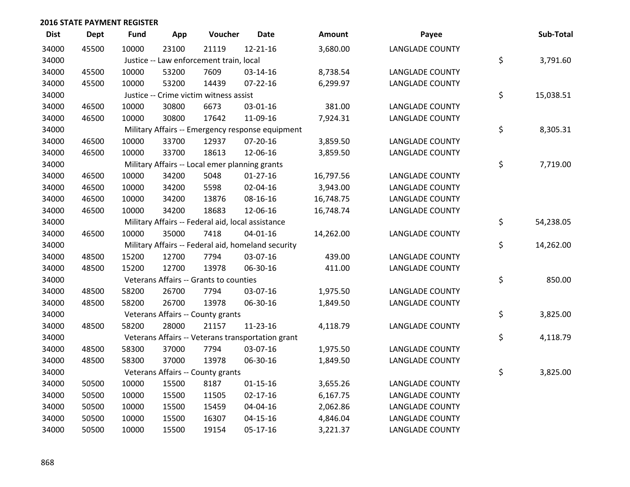| <b>Dist</b> | <b>Dept</b> | <b>Fund</b> | App   | Voucher                                            | <b>Date</b>    | <b>Amount</b> | Payee                  | Sub-Total       |
|-------------|-------------|-------------|-------|----------------------------------------------------|----------------|---------------|------------------------|-----------------|
| 34000       | 45500       | 10000       | 23100 | 21119                                              | 12-21-16       | 3,680.00      | <b>LANGLADE COUNTY</b> |                 |
| 34000       |             |             |       | Justice -- Law enforcement train, local            |                |               |                        | \$<br>3,791.60  |
| 34000       | 45500       | 10000       | 53200 | 7609                                               | 03-14-16       | 8,738.54      | <b>LANGLADE COUNTY</b> |                 |
| 34000       | 45500       | 10000       | 53200 | 14439                                              | $07 - 22 - 16$ | 6,299.97      | <b>LANGLADE COUNTY</b> |                 |
| 34000       |             |             |       | Justice -- Crime victim witness assist             |                |               |                        | \$<br>15,038.51 |
| 34000       | 46500       | 10000       | 30800 | 6673                                               | 03-01-16       | 381.00        | <b>LANGLADE COUNTY</b> |                 |
| 34000       | 46500       | 10000       | 30800 | 17642                                              | 11-09-16       | 7,924.31      | <b>LANGLADE COUNTY</b> |                 |
| 34000       |             |             |       | Military Affairs -- Emergency response equipment   |                |               |                        | \$<br>8,305.31  |
| 34000       | 46500       | 10000       | 33700 | 12937                                              | 07-20-16       | 3,859.50      | <b>LANGLADE COUNTY</b> |                 |
| 34000       | 46500       | 10000       | 33700 | 18613                                              | 12-06-16       | 3,859.50      | <b>LANGLADE COUNTY</b> |                 |
| 34000       |             |             |       | Military Affairs -- Local emer planning grants     |                |               |                        | \$<br>7,719.00  |
| 34000       | 46500       | 10000       | 34200 | 5048                                               | $01-27-16$     | 16,797.56     | <b>LANGLADE COUNTY</b> |                 |
| 34000       | 46500       | 10000       | 34200 | 5598                                               | 02-04-16       | 3,943.00      | <b>LANGLADE COUNTY</b> |                 |
| 34000       | 46500       | 10000       | 34200 | 13876                                              | 08-16-16       | 16,748.75     | <b>LANGLADE COUNTY</b> |                 |
| 34000       | 46500       | 10000       | 34200 | 18683                                              | 12-06-16       | 16,748.74     | <b>LANGLADE COUNTY</b> |                 |
| 34000       |             |             |       | Military Affairs -- Federal aid, local assistance  |                |               |                        | \$<br>54,238.05 |
| 34000       | 46500       | 10000       | 35000 | 7418                                               | $04 - 01 - 16$ | 14,262.00     | <b>LANGLADE COUNTY</b> |                 |
| 34000       |             |             |       | Military Affairs -- Federal aid, homeland security |                |               |                        | \$<br>14,262.00 |
| 34000       | 48500       | 15200       | 12700 | 7794                                               | 03-07-16       | 439.00        | <b>LANGLADE COUNTY</b> |                 |
| 34000       | 48500       | 15200       | 12700 | 13978                                              | 06-30-16       | 411.00        | <b>LANGLADE COUNTY</b> |                 |
| 34000       |             |             |       | Veterans Affairs -- Grants to counties             |                |               |                        | \$<br>850.00    |
| 34000       | 48500       | 58200       | 26700 | 7794                                               | 03-07-16       | 1,975.50      | <b>LANGLADE COUNTY</b> |                 |
| 34000       | 48500       | 58200       | 26700 | 13978                                              | 06-30-16       | 1,849.50      | <b>LANGLADE COUNTY</b> |                 |
| 34000       |             |             |       | Veterans Affairs -- County grants                  |                |               |                        | \$<br>3,825.00  |
| 34000       | 48500       | 58200       | 28000 | 21157                                              | 11-23-16       | 4,118.79      | <b>LANGLADE COUNTY</b> |                 |
| 34000       |             |             |       | Veterans Affairs -- Veterans transportation grant  |                |               |                        | \$<br>4,118.79  |
| 34000       | 48500       | 58300       | 37000 | 7794                                               | 03-07-16       | 1,975.50      | <b>LANGLADE COUNTY</b> |                 |
| 34000       | 48500       | 58300       | 37000 | 13978                                              | 06-30-16       | 1,849.50      | <b>LANGLADE COUNTY</b> |                 |
| 34000       |             |             |       | Veterans Affairs -- County grants                  |                |               |                        | \$<br>3,825.00  |
| 34000       | 50500       | 10000       | 15500 | 8187                                               | $01 - 15 - 16$ | 3,655.26      | <b>LANGLADE COUNTY</b> |                 |
| 34000       | 50500       | 10000       | 15500 | 11505                                              | $02 - 17 - 16$ | 6,167.75      | <b>LANGLADE COUNTY</b> |                 |
| 34000       | 50500       | 10000       | 15500 | 15459                                              | 04-04-16       | 2,062.86      | <b>LANGLADE COUNTY</b> |                 |
| 34000       | 50500       | 10000       | 15500 | 16307                                              | $04 - 15 - 16$ | 4,846.04      | <b>LANGLADE COUNTY</b> |                 |
| 34000       | 50500       | 10000       | 15500 | 19154                                              | 05-17-16       | 3,221.37      | <b>LANGLADE COUNTY</b> |                 |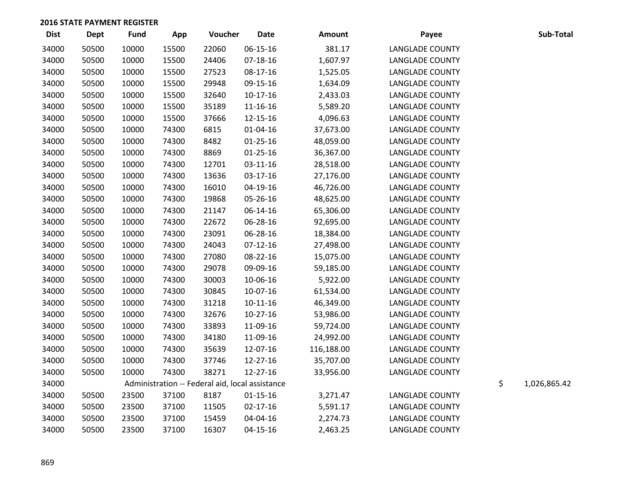| <b>Dist</b> | <b>Dept</b> | Fund  | App   | Voucher | <b>Date</b>                                     | <b>Amount</b> | Payee                  | Sub-Total          |
|-------------|-------------|-------|-------|---------|-------------------------------------------------|---------------|------------------------|--------------------|
| 34000       | 50500       | 10000 | 15500 | 22060   | 06-15-16                                        | 381.17        | <b>LANGLADE COUNTY</b> |                    |
| 34000       | 50500       | 10000 | 15500 | 24406   | $07-18-16$                                      | 1,607.97      | <b>LANGLADE COUNTY</b> |                    |
| 34000       | 50500       | 10000 | 15500 | 27523   | 08-17-16                                        | 1,525.05      | <b>LANGLADE COUNTY</b> |                    |
| 34000       | 50500       | 10000 | 15500 | 29948   | 09-15-16                                        | 1,634.09      | <b>LANGLADE COUNTY</b> |                    |
| 34000       | 50500       | 10000 | 15500 | 32640   | $10-17-16$                                      | 2,433.03      | <b>LANGLADE COUNTY</b> |                    |
| 34000       | 50500       | 10000 | 15500 | 35189   | 11-16-16                                        | 5,589.20      | <b>LANGLADE COUNTY</b> |                    |
| 34000       | 50500       | 10000 | 15500 | 37666   | 12-15-16                                        | 4,096.63      | <b>LANGLADE COUNTY</b> |                    |
| 34000       | 50500       | 10000 | 74300 | 6815    | $01 - 04 - 16$                                  | 37,673.00     | <b>LANGLADE COUNTY</b> |                    |
| 34000       | 50500       | 10000 | 74300 | 8482    | $01 - 25 - 16$                                  | 48,059.00     | <b>LANGLADE COUNTY</b> |                    |
| 34000       | 50500       | 10000 | 74300 | 8869    | $01 - 25 - 16$                                  | 36,367.00     | <b>LANGLADE COUNTY</b> |                    |
| 34000       | 50500       | 10000 | 74300 | 12701   | $03-11-16$                                      | 28,518.00     | <b>LANGLADE COUNTY</b> |                    |
| 34000       | 50500       | 10000 | 74300 | 13636   | 03-17-16                                        | 27,176.00     | <b>LANGLADE COUNTY</b> |                    |
| 34000       | 50500       | 10000 | 74300 | 16010   | 04-19-16                                        | 46,726.00     | <b>LANGLADE COUNTY</b> |                    |
| 34000       | 50500       | 10000 | 74300 | 19868   | 05-26-16                                        | 48,625.00     | <b>LANGLADE COUNTY</b> |                    |
| 34000       | 50500       | 10000 | 74300 | 21147   | 06-14-16                                        | 65,306.00     | <b>LANGLADE COUNTY</b> |                    |
| 34000       | 50500       | 10000 | 74300 | 22672   | 06-28-16                                        | 92,695.00     | <b>LANGLADE COUNTY</b> |                    |
| 34000       | 50500       | 10000 | 74300 | 23091   | 06-28-16                                        | 18,384.00     | <b>LANGLADE COUNTY</b> |                    |
| 34000       | 50500       | 10000 | 74300 | 24043   | $07-12-16$                                      | 27,498.00     | <b>LANGLADE COUNTY</b> |                    |
| 34000       | 50500       | 10000 | 74300 | 27080   | 08-22-16                                        | 15,075.00     | <b>LANGLADE COUNTY</b> |                    |
| 34000       | 50500       | 10000 | 74300 | 29078   | 09-09-16                                        | 59,185.00     | <b>LANGLADE COUNTY</b> |                    |
| 34000       | 50500       | 10000 | 74300 | 30003   | 10-06-16                                        | 5,922.00      | <b>LANGLADE COUNTY</b> |                    |
| 34000       | 50500       | 10000 | 74300 | 30845   | 10-07-16                                        | 61,534.00     | <b>LANGLADE COUNTY</b> |                    |
| 34000       | 50500       | 10000 | 74300 | 31218   | $10-11-16$                                      | 46,349.00     | <b>LANGLADE COUNTY</b> |                    |
| 34000       | 50500       | 10000 | 74300 | 32676   | $10-27-16$                                      | 53,986.00     | <b>LANGLADE COUNTY</b> |                    |
| 34000       | 50500       | 10000 | 74300 | 33893   | 11-09-16                                        | 59,724.00     | <b>LANGLADE COUNTY</b> |                    |
| 34000       | 50500       | 10000 | 74300 | 34180   | 11-09-16                                        | 24,992.00     | <b>LANGLADE COUNTY</b> |                    |
| 34000       | 50500       | 10000 | 74300 | 35639   | 12-07-16                                        | 116,188.00    | <b>LANGLADE COUNTY</b> |                    |
| 34000       | 50500       | 10000 | 74300 | 37746   | 12-27-16                                        | 35,707.00     | <b>LANGLADE COUNTY</b> |                    |
| 34000       | 50500       | 10000 | 74300 | 38271   | 12-27-16                                        | 33,956.00     | <b>LANGLADE COUNTY</b> |                    |
| 34000       |             |       |       |         | Administration -- Federal aid, local assistance |               |                        | \$<br>1,026,865.42 |
| 34000       | 50500       | 23500 | 37100 | 8187    | $01 - 15 - 16$                                  | 3,271.47      | <b>LANGLADE COUNTY</b> |                    |
| 34000       | 50500       | 23500 | 37100 | 11505   | $02 - 17 - 16$                                  | 5,591.17      | <b>LANGLADE COUNTY</b> |                    |
| 34000       | 50500       | 23500 | 37100 | 15459   | 04-04-16                                        | 2,274.73      | <b>LANGLADE COUNTY</b> |                    |
| 34000       | 50500       | 23500 | 37100 | 16307   | $04 - 15 - 16$                                  | 2,463.25      | <b>LANGLADE COUNTY</b> |                    |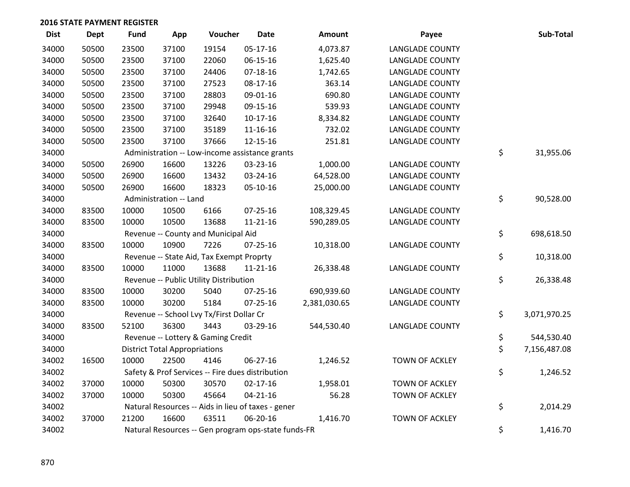| <b>Dist</b> | <b>Dept</b> | <b>Fund</b> | App                                  | Voucher                                  | <b>Date</b>                                         | Amount       | Payee                  | Sub-Total          |
|-------------|-------------|-------------|--------------------------------------|------------------------------------------|-----------------------------------------------------|--------------|------------------------|--------------------|
| 34000       | 50500       | 23500       | 37100                                | 19154                                    | $05-17-16$                                          | 4,073.87     | <b>LANGLADE COUNTY</b> |                    |
| 34000       | 50500       | 23500       | 37100                                | 22060                                    | 06-15-16                                            | 1,625.40     | <b>LANGLADE COUNTY</b> |                    |
| 34000       | 50500       | 23500       | 37100                                | 24406                                    | $07-18-16$                                          | 1,742.65     | <b>LANGLADE COUNTY</b> |                    |
| 34000       | 50500       | 23500       | 37100                                | 27523                                    | $08-17-16$                                          | 363.14       | <b>LANGLADE COUNTY</b> |                    |
| 34000       | 50500       | 23500       | 37100                                | 28803                                    | 09-01-16                                            | 690.80       | <b>LANGLADE COUNTY</b> |                    |
| 34000       | 50500       | 23500       | 37100                                | 29948                                    | 09-15-16                                            | 539.93       | <b>LANGLADE COUNTY</b> |                    |
| 34000       | 50500       | 23500       | 37100                                | 32640                                    | $10-17-16$                                          | 8,334.82     | <b>LANGLADE COUNTY</b> |                    |
| 34000       | 50500       | 23500       | 37100                                | 35189                                    | 11-16-16                                            | 732.02       | <b>LANGLADE COUNTY</b> |                    |
| 34000       | 50500       | 23500       | 37100                                | 37666                                    | 12-15-16                                            | 251.81       | <b>LANGLADE COUNTY</b> |                    |
| 34000       |             |             |                                      |                                          | Administration -- Low-income assistance grants      |              |                        | \$<br>31,955.06    |
| 34000       | 50500       | 26900       | 16600                                | 13226                                    | 03-23-16                                            | 1,000.00     | <b>LANGLADE COUNTY</b> |                    |
| 34000       | 50500       | 26900       | 16600                                | 13432                                    | 03-24-16                                            | 64,528.00    | <b>LANGLADE COUNTY</b> |                    |
| 34000       | 50500       | 26900       | 16600                                | 18323                                    | 05-10-16                                            | 25,000.00    | <b>LANGLADE COUNTY</b> |                    |
| 34000       |             |             | Administration -- Land               |                                          |                                                     |              |                        | \$<br>90,528.00    |
| 34000       | 83500       | 10000       | 10500                                | 6166                                     | $07 - 25 - 16$                                      | 108,329.45   | <b>LANGLADE COUNTY</b> |                    |
| 34000       | 83500       | 10000       | 10500                                | 13688                                    | $11 - 21 - 16$                                      | 590,289.05   | <b>LANGLADE COUNTY</b> |                    |
| 34000       |             |             |                                      | Revenue -- County and Municipal Aid      |                                                     |              |                        | \$<br>698,618.50   |
| 34000       | 83500       | 10000       | 10900                                | 7226                                     | $07 - 25 - 16$                                      | 10,318.00    | <b>LANGLADE COUNTY</b> |                    |
| 34000       |             |             |                                      | Revenue -- State Aid, Tax Exempt Proprty |                                                     |              |                        | \$<br>10,318.00    |
| 34000       | 83500       | 10000       | 11000                                | 13688                                    | $11 - 21 - 16$                                      | 26,338.48    | <b>LANGLADE COUNTY</b> |                    |
| 34000       |             |             |                                      | Revenue -- Public Utility Distribution   |                                                     |              |                        | \$<br>26,338.48    |
| 34000       | 83500       | 10000       | 30200                                | 5040                                     | 07-25-16                                            | 690,939.60   | <b>LANGLADE COUNTY</b> |                    |
| 34000       | 83500       | 10000       | 30200                                | 5184                                     | $07 - 25 - 16$                                      | 2,381,030.65 | <b>LANGLADE COUNTY</b> |                    |
| 34000       |             |             |                                      | Revenue -- School Lvy Tx/First Dollar Cr |                                                     |              |                        | \$<br>3,071,970.25 |
| 34000       | 83500       | 52100       | 36300                                | 3443                                     | 03-29-16                                            | 544,530.40   | <b>LANGLADE COUNTY</b> |                    |
| 34000       |             |             |                                      | Revenue -- Lottery & Gaming Credit       |                                                     |              |                        | \$<br>544,530.40   |
| 34000       |             |             | <b>District Total Appropriations</b> |                                          |                                                     |              |                        | \$<br>7,156,487.08 |
| 34002       | 16500       | 10000       | 22500                                | 4146                                     | 06-27-16                                            | 1,246.52     | TOWN OF ACKLEY         |                    |
| 34002       |             |             |                                      |                                          | Safety & Prof Services -- Fire dues distribution    |              |                        | \$<br>1,246.52     |
| 34002       | 37000       | 10000       | 50300                                | 30570                                    | $02 - 17 - 16$                                      | 1,958.01     | <b>TOWN OF ACKLEY</b>  |                    |
| 34002       | 37000       | 10000       | 50300                                | 45664                                    | $04 - 21 - 16$                                      | 56.28        | <b>TOWN OF ACKLEY</b>  |                    |
| 34002       |             |             |                                      |                                          | Natural Resources -- Aids in lieu of taxes - gener  |              |                        | \$<br>2,014.29     |
| 34002       | 37000       | 21200       | 16600                                | 63511                                    | 06-20-16                                            | 1,416.70     | <b>TOWN OF ACKLEY</b>  |                    |
| 34002       |             |             |                                      |                                          | Natural Resources -- Gen program ops-state funds-FR |              |                        | \$<br>1,416.70     |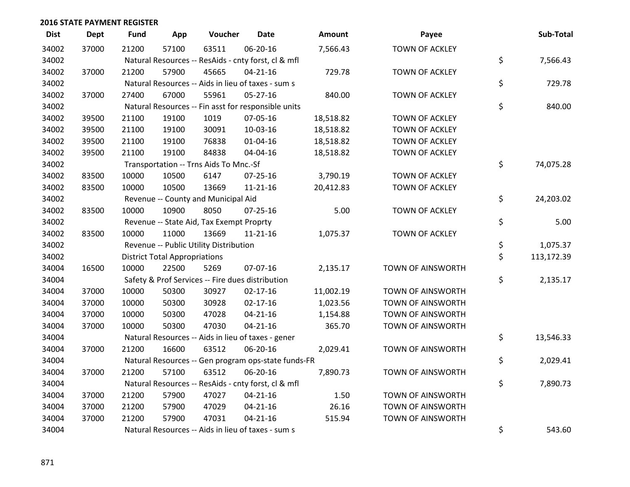| <b>Dist</b> | <b>Dept</b> | <b>Fund</b> | App                                  | Voucher                                  | <b>Date</b>                                         | Amount    | Payee                    | Sub-Total        |
|-------------|-------------|-------------|--------------------------------------|------------------------------------------|-----------------------------------------------------|-----------|--------------------------|------------------|
| 34002       | 37000       | 21200       | 57100                                | 63511                                    | 06-20-16                                            | 7,566.43  | <b>TOWN OF ACKLEY</b>    |                  |
| 34002       |             |             |                                      |                                          | Natural Resources -- ResAids - cnty forst, cl & mfl |           |                          | \$<br>7,566.43   |
| 34002       | 37000       | 21200       | 57900                                | 45665                                    | $04 - 21 - 16$                                      | 729.78    | <b>TOWN OF ACKLEY</b>    |                  |
| 34002       |             |             |                                      |                                          | Natural Resources -- Aids in lieu of taxes - sum s  |           |                          | \$<br>729.78     |
| 34002       | 37000       | 27400       | 67000                                | 55961                                    | $05 - 27 - 16$                                      | 840.00    | TOWN OF ACKLEY           |                  |
| 34002       |             |             |                                      |                                          | Natural Resources -- Fin asst for responsible units |           |                          | \$<br>840.00     |
| 34002       | 39500       | 21100       | 19100                                | 1019                                     | 07-05-16                                            | 18,518.82 | TOWN OF ACKLEY           |                  |
| 34002       | 39500       | 21100       | 19100                                | 30091                                    | 10-03-16                                            | 18,518.82 | TOWN OF ACKLEY           |                  |
| 34002       | 39500       | 21100       | 19100                                | 76838                                    | $01 - 04 - 16$                                      | 18,518.82 | TOWN OF ACKLEY           |                  |
| 34002       | 39500       | 21100       | 19100                                | 84838                                    | 04-04-16                                            | 18,518.82 | TOWN OF ACKLEY           |                  |
| 34002       |             |             |                                      | Transportation -- Trns Aids To Mnc.-Sf   |                                                     |           |                          | \$<br>74,075.28  |
| 34002       | 83500       | 10000       | 10500                                | 6147                                     | $07 - 25 - 16$                                      | 3,790.19  | <b>TOWN OF ACKLEY</b>    |                  |
| 34002       | 83500       | 10000       | 10500                                | 13669                                    | $11 - 21 - 16$                                      | 20,412.83 | <b>TOWN OF ACKLEY</b>    |                  |
| 34002       |             |             |                                      | Revenue -- County and Municipal Aid      |                                                     |           |                          | \$<br>24,203.02  |
| 34002       | 83500       | 10000       | 10900                                | 8050                                     | $07 - 25 - 16$                                      | 5.00      | TOWN OF ACKLEY           |                  |
| 34002       |             |             |                                      | Revenue -- State Aid, Tax Exempt Proprty |                                                     |           |                          | \$<br>5.00       |
| 34002       | 83500       | 10000       | 11000                                | 13669                                    | $11 - 21 - 16$                                      | 1,075.37  | <b>TOWN OF ACKLEY</b>    |                  |
| 34002       |             |             |                                      | Revenue -- Public Utility Distribution   |                                                     |           |                          | \$<br>1,075.37   |
| 34002       |             |             | <b>District Total Appropriations</b> |                                          |                                                     |           |                          | \$<br>113,172.39 |
| 34004       | 16500       | 10000       | 22500                                | 5269                                     | 07-07-16                                            | 2,135.17  | <b>TOWN OF AINSWORTH</b> |                  |
| 34004       |             |             |                                      |                                          | Safety & Prof Services -- Fire dues distribution    |           |                          | \$<br>2,135.17   |
| 34004       | 37000       | 10000       | 50300                                | 30927                                    | $02 - 17 - 16$                                      | 11,002.19 | <b>TOWN OF AINSWORTH</b> |                  |
| 34004       | 37000       | 10000       | 50300                                | 30928                                    | $02 - 17 - 16$                                      | 1,023.56  | <b>TOWN OF AINSWORTH</b> |                  |
| 34004       | 37000       | 10000       | 50300                                | 47028                                    | $04 - 21 - 16$                                      | 1,154.88  | <b>TOWN OF AINSWORTH</b> |                  |
| 34004       | 37000       | 10000       | 50300                                | 47030                                    | $04 - 21 - 16$                                      | 365.70    | <b>TOWN OF AINSWORTH</b> |                  |
| 34004       |             |             |                                      |                                          | Natural Resources -- Aids in lieu of taxes - gener  |           |                          | \$<br>13,546.33  |
| 34004       | 37000       | 21200       | 16600                                | 63512                                    | 06-20-16                                            | 2,029.41  | <b>TOWN OF AINSWORTH</b> |                  |
| 34004       |             |             |                                      |                                          | Natural Resources -- Gen program ops-state funds-FR |           |                          | \$<br>2,029.41   |
| 34004       | 37000       | 21200       | 57100                                | 63512                                    | 06-20-16                                            | 7,890.73  | <b>TOWN OF AINSWORTH</b> |                  |
| 34004       |             |             |                                      |                                          | Natural Resources -- ResAids - cnty forst, cl & mfl |           |                          | \$<br>7,890.73   |
| 34004       | 37000       | 21200       | 57900                                | 47027                                    | $04 - 21 - 16$                                      | 1.50      | <b>TOWN OF AINSWORTH</b> |                  |
| 34004       | 37000       | 21200       | 57900                                | 47029                                    | $04 - 21 - 16$                                      | 26.16     | <b>TOWN OF AINSWORTH</b> |                  |
| 34004       | 37000       | 21200       | 57900                                | 47031                                    | $04 - 21 - 16$                                      | 515.94    | <b>TOWN OF AINSWORTH</b> |                  |
| 34004       |             |             |                                      |                                          | Natural Resources -- Aids in lieu of taxes - sum s  |           |                          | \$<br>543.60     |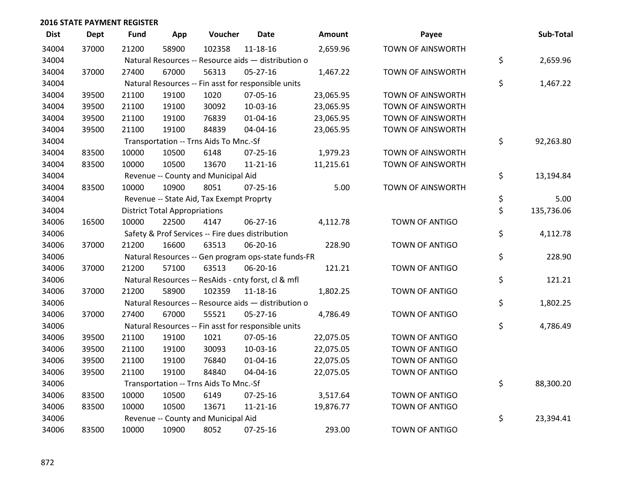| <b>Dist</b> | <b>Dept</b> | <b>Fund</b> | App                                  | Voucher                                             | <b>Date</b>    | <b>Amount</b> | Payee                    | Sub-Total        |
|-------------|-------------|-------------|--------------------------------------|-----------------------------------------------------|----------------|---------------|--------------------------|------------------|
| 34004       | 37000       | 21200       | 58900                                | 102358                                              | 11-18-16       | 2,659.96      | <b>TOWN OF AINSWORTH</b> |                  |
| 34004       |             |             |                                      | Natural Resources -- Resource aids - distribution o |                |               |                          | \$<br>2,659.96   |
| 34004       | 37000       | 27400       | 67000                                | 56313                                               | $05 - 27 - 16$ | 1,467.22      | <b>TOWN OF AINSWORTH</b> |                  |
| 34004       |             |             |                                      | Natural Resources -- Fin asst for responsible units |                |               |                          | \$<br>1,467.22   |
| 34004       | 39500       | 21100       | 19100                                | 1020                                                | 07-05-16       | 23,065.95     | <b>TOWN OF AINSWORTH</b> |                  |
| 34004       | 39500       | 21100       | 19100                                | 30092                                               | 10-03-16       | 23,065.95     | <b>TOWN OF AINSWORTH</b> |                  |
| 34004       | 39500       | 21100       | 19100                                | 76839                                               | $01 - 04 - 16$ | 23,065.95     | <b>TOWN OF AINSWORTH</b> |                  |
| 34004       | 39500       | 21100       | 19100                                | 84839                                               | 04-04-16       | 23,065.95     | <b>TOWN OF AINSWORTH</b> |                  |
| 34004       |             |             |                                      | Transportation -- Trns Aids To Mnc.-Sf              |                |               |                          | \$<br>92,263.80  |
| 34004       | 83500       | 10000       | 10500                                | 6148                                                | $07 - 25 - 16$ | 1,979.23      | TOWN OF AINSWORTH        |                  |
| 34004       | 83500       | 10000       | 10500                                | 13670                                               | $11 - 21 - 16$ | 11,215.61     | <b>TOWN OF AINSWORTH</b> |                  |
| 34004       |             |             |                                      | Revenue -- County and Municipal Aid                 |                |               |                          | \$<br>13,194.84  |
| 34004       | 83500       | 10000       | 10900                                | 8051                                                | $07 - 25 - 16$ | 5.00          | <b>TOWN OF AINSWORTH</b> |                  |
| 34004       |             |             |                                      | Revenue -- State Aid, Tax Exempt Proprty            |                |               |                          | \$<br>5.00       |
| 34004       |             |             | <b>District Total Appropriations</b> |                                                     |                |               |                          | \$<br>135,736.06 |
| 34006       | 16500       | 10000       | 22500                                | 4147                                                | $06 - 27 - 16$ | 4,112.78      | TOWN OF ANTIGO           |                  |
| 34006       |             |             |                                      | Safety & Prof Services -- Fire dues distribution    |                |               |                          | \$<br>4,112.78   |
| 34006       | 37000       | 21200       | 16600                                | 63513                                               | 06-20-16       | 228.90        | <b>TOWN OF ANTIGO</b>    |                  |
| 34006       |             |             |                                      | Natural Resources -- Gen program ops-state funds-FR |                |               |                          | \$<br>228.90     |
| 34006       | 37000       | 21200       | 57100                                | 63513                                               | 06-20-16       | 121.21        | TOWN OF ANTIGO           |                  |
| 34006       |             |             |                                      | Natural Resources -- ResAids - cnty forst, cl & mfl |                |               |                          | \$<br>121.21     |
| 34006       | 37000       | 21200       | 58900                                | 102359                                              | 11-18-16       | 1,802.25      | TOWN OF ANTIGO           |                  |
| 34006       |             |             |                                      | Natural Resources -- Resource aids - distribution o |                |               |                          | \$<br>1,802.25   |
| 34006       | 37000       | 27400       | 67000                                | 55521                                               | 05-27-16       | 4,786.49      | TOWN OF ANTIGO           |                  |
| 34006       |             |             |                                      | Natural Resources -- Fin asst for responsible units |                |               |                          | \$<br>4,786.49   |
| 34006       | 39500       | 21100       | 19100                                | 1021                                                | 07-05-16       | 22,075.05     | <b>TOWN OF ANTIGO</b>    |                  |
| 34006       | 39500       | 21100       | 19100                                | 30093                                               | 10-03-16       | 22,075.05     | <b>TOWN OF ANTIGO</b>    |                  |
| 34006       | 39500       | 21100       | 19100                                | 76840                                               | $01 - 04 - 16$ | 22,075.05     | TOWN OF ANTIGO           |                  |
| 34006       | 39500       | 21100       | 19100                                | 84840                                               | 04-04-16       | 22,075.05     | TOWN OF ANTIGO           |                  |
| 34006       |             |             |                                      | Transportation -- Trns Aids To Mnc.-Sf              |                |               |                          | \$<br>88,300.20  |
| 34006       | 83500       | 10000       | 10500                                | 6149                                                | $07 - 25 - 16$ | 3,517.64      | TOWN OF ANTIGO           |                  |
| 34006       | 83500       | 10000       | 10500                                | 13671                                               | $11 - 21 - 16$ | 19,876.77     | TOWN OF ANTIGO           |                  |
| 34006       |             |             |                                      | Revenue -- County and Municipal Aid                 |                |               |                          | \$<br>23,394.41  |
| 34006       | 83500       | 10000       | 10900                                | 8052                                                | $07 - 25 - 16$ | 293.00        | <b>TOWN OF ANTIGO</b>    |                  |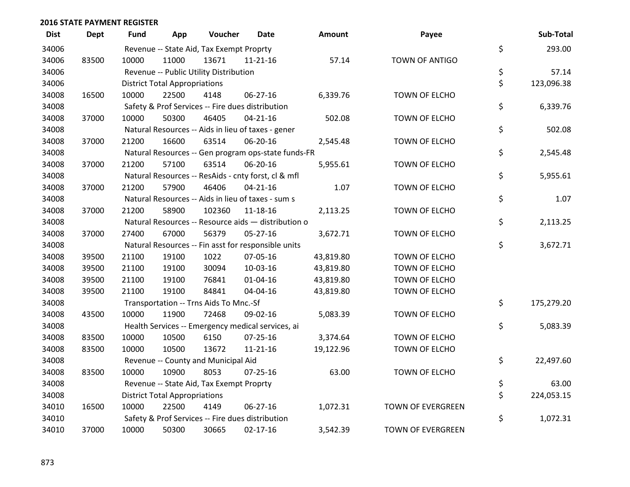| <b>Dist</b> | <b>Dept</b> | Fund  | App                                  | Voucher                                  | Date                                                | <b>Amount</b> | Payee                    | Sub-Total        |
|-------------|-------------|-------|--------------------------------------|------------------------------------------|-----------------------------------------------------|---------------|--------------------------|------------------|
| 34006       |             |       |                                      | Revenue -- State Aid, Tax Exempt Proprty |                                                     |               |                          | \$<br>293.00     |
| 34006       | 83500       | 10000 | 11000                                | 13671                                    | $11 - 21 - 16$                                      | 57.14         | TOWN OF ANTIGO           |                  |
| 34006       |             |       |                                      | Revenue -- Public Utility Distribution   |                                                     |               |                          | \$<br>57.14      |
| 34006       |             |       | <b>District Total Appropriations</b> |                                          |                                                     |               |                          | \$<br>123,096.38 |
| 34008       | 16500       | 10000 | 22500                                | 4148                                     | 06-27-16                                            | 6,339.76      | TOWN OF ELCHO            |                  |
| 34008       |             |       |                                      |                                          | Safety & Prof Services -- Fire dues distribution    |               |                          | \$<br>6,339.76   |
| 34008       | 37000       | 10000 | 50300                                | 46405                                    | $04 - 21 - 16$                                      | 502.08        | TOWN OF ELCHO            |                  |
| 34008       |             |       |                                      |                                          | Natural Resources -- Aids in lieu of taxes - gener  |               |                          | \$<br>502.08     |
| 34008       | 37000       | 21200 | 16600                                | 63514                                    | 06-20-16                                            | 2,545.48      | TOWN OF ELCHO            |                  |
| 34008       |             |       |                                      |                                          | Natural Resources -- Gen program ops-state funds-FR |               |                          | \$<br>2,545.48   |
| 34008       | 37000       | 21200 | 57100                                | 63514                                    | 06-20-16                                            | 5,955.61      | TOWN OF ELCHO            |                  |
| 34008       |             |       |                                      |                                          | Natural Resources -- ResAids - cnty forst, cl & mfl |               |                          | \$<br>5,955.61   |
| 34008       | 37000       | 21200 | 57900                                | 46406                                    | $04 - 21 - 16$                                      | 1.07          | TOWN OF ELCHO            |                  |
| 34008       |             |       |                                      |                                          | Natural Resources -- Aids in lieu of taxes - sum s  |               |                          | \$<br>1.07       |
| 34008       | 37000       | 21200 | 58900                                | 102360                                   | $11 - 18 - 16$                                      | 2,113.25      | TOWN OF ELCHO            |                  |
| 34008       |             |       |                                      |                                          | Natural Resources -- Resource aids - distribution o |               |                          | \$<br>2,113.25   |
| 34008       | 37000       | 27400 | 67000                                | 56379                                    | 05-27-16                                            | 3,672.71      | TOWN OF ELCHO            |                  |
| 34008       |             |       |                                      |                                          | Natural Resources -- Fin asst for responsible units |               |                          | \$<br>3,672.71   |
| 34008       | 39500       | 21100 | 19100                                | 1022                                     | 07-05-16                                            | 43,819.80     | TOWN OF ELCHO            |                  |
| 34008       | 39500       | 21100 | 19100                                | 30094                                    | 10-03-16                                            | 43,819.80     | TOWN OF ELCHO            |                  |
| 34008       | 39500       | 21100 | 19100                                | 76841                                    | $01 - 04 - 16$                                      | 43,819.80     | TOWN OF ELCHO            |                  |
| 34008       | 39500       | 21100 | 19100                                | 84841                                    | 04-04-16                                            | 43,819.80     | TOWN OF ELCHO            |                  |
| 34008       |             |       |                                      | Transportation -- Trns Aids To Mnc.-Sf   |                                                     |               |                          | \$<br>175,279.20 |
| 34008       | 43500       | 10000 | 11900                                | 72468                                    | 09-02-16                                            | 5,083.39      | TOWN OF ELCHO            |                  |
| 34008       |             |       |                                      |                                          | Health Services -- Emergency medical services, ai   |               |                          | \$<br>5,083.39   |
| 34008       | 83500       | 10000 | 10500                                | 6150                                     | $07 - 25 - 16$                                      | 3,374.64      | TOWN OF ELCHO            |                  |
| 34008       | 83500       | 10000 | 10500                                | 13672                                    | $11 - 21 - 16$                                      | 19,122.96     | TOWN OF ELCHO            |                  |
| 34008       |             |       |                                      | Revenue -- County and Municipal Aid      |                                                     |               |                          | \$<br>22,497.60  |
| 34008       | 83500       | 10000 | 10900                                | 8053                                     | $07 - 25 - 16$                                      | 63.00         | TOWN OF ELCHO            |                  |
| 34008       |             |       |                                      | Revenue -- State Aid, Tax Exempt Proprty |                                                     |               |                          | \$<br>63.00      |
| 34008       |             |       | <b>District Total Appropriations</b> |                                          |                                                     |               |                          | \$<br>224,053.15 |
| 34010       | 16500       | 10000 | 22500                                | 4149                                     | 06-27-16                                            | 1,072.31      | <b>TOWN OF EVERGREEN</b> |                  |
| 34010       |             |       |                                      |                                          | Safety & Prof Services -- Fire dues distribution    |               |                          | \$<br>1,072.31   |
| 34010       | 37000       | 10000 | 50300                                | 30665                                    | $02 - 17 - 16$                                      | 3,542.39      | <b>TOWN OF EVERGREEN</b> |                  |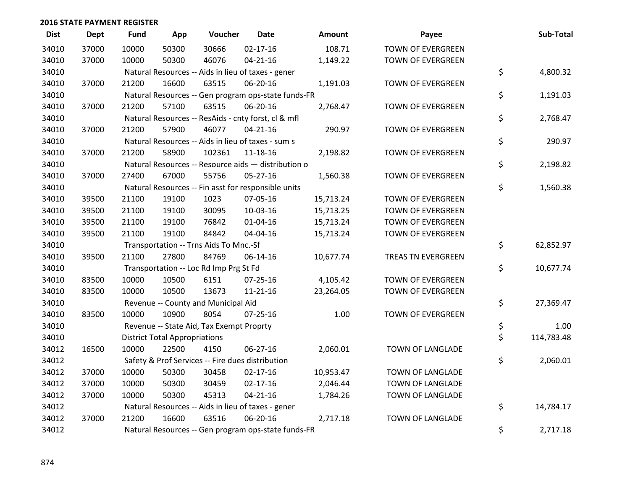| <b>Dist</b> | Dept  | <b>Fund</b> | App                                  | Voucher                                             | <b>Date</b>    | Amount    | Payee                     | Sub-Total        |
|-------------|-------|-------------|--------------------------------------|-----------------------------------------------------|----------------|-----------|---------------------------|------------------|
| 34010       | 37000 | 10000       | 50300                                | 30666                                               | $02 - 17 - 16$ | 108.71    | <b>TOWN OF EVERGREEN</b>  |                  |
| 34010       | 37000 | 10000       | 50300                                | 46076                                               | $04 - 21 - 16$ | 1,149.22  | TOWN OF EVERGREEN         |                  |
| 34010       |       |             |                                      | Natural Resources -- Aids in lieu of taxes - gener  |                |           |                           | \$<br>4,800.32   |
| 34010       | 37000 | 21200       | 16600                                | 63515                                               | 06-20-16       | 1,191.03  | TOWN OF EVERGREEN         |                  |
| 34010       |       |             |                                      | Natural Resources -- Gen program ops-state funds-FR |                |           |                           | \$<br>1,191.03   |
| 34010       | 37000 | 21200       | 57100                                | 63515                                               | 06-20-16       | 2,768.47  | TOWN OF EVERGREEN         |                  |
| 34010       |       |             |                                      | Natural Resources -- ResAids - cnty forst, cl & mfl |                |           |                           | \$<br>2,768.47   |
| 34010       | 37000 | 21200       | 57900                                | 46077                                               | $04 - 21 - 16$ | 290.97    | TOWN OF EVERGREEN         |                  |
| 34010       |       |             |                                      | Natural Resources -- Aids in lieu of taxes - sum s  |                |           |                           | \$<br>290.97     |
| 34010       | 37000 | 21200       | 58900                                | 102361                                              | $11 - 18 - 16$ | 2,198.82  | TOWN OF EVERGREEN         |                  |
| 34010       |       |             |                                      | Natural Resources -- Resource aids - distribution o |                |           |                           | \$<br>2,198.82   |
| 34010       | 37000 | 27400       | 67000                                | 55756                                               | 05-27-16       | 1,560.38  | TOWN OF EVERGREEN         |                  |
| 34010       |       |             |                                      | Natural Resources -- Fin asst for responsible units |                |           |                           | \$<br>1,560.38   |
| 34010       | 39500 | 21100       | 19100                                | 1023                                                | 07-05-16       | 15,713.24 | <b>TOWN OF EVERGREEN</b>  |                  |
| 34010       | 39500 | 21100       | 19100                                | 30095                                               | 10-03-16       | 15,713.25 | <b>TOWN OF EVERGREEN</b>  |                  |
| 34010       | 39500 | 21100       | 19100                                | 76842                                               | $01 - 04 - 16$ | 15,713.24 | TOWN OF EVERGREEN         |                  |
| 34010       | 39500 | 21100       | 19100                                | 84842                                               | 04-04-16       | 15,713.24 | TOWN OF EVERGREEN         |                  |
| 34010       |       |             |                                      | Transportation -- Trns Aids To Mnc.-Sf              |                |           |                           | \$<br>62,852.97  |
| 34010       | 39500 | 21100       | 27800                                | 84769                                               | 06-14-16       | 10,677.74 | <b>TREAS TN EVERGREEN</b> |                  |
| 34010       |       |             |                                      | Transportation -- Loc Rd Imp Prg St Fd              |                |           |                           | \$<br>10,677.74  |
| 34010       | 83500 | 10000       | 10500                                | 6151                                                | 07-25-16       | 4,105.42  | TOWN OF EVERGREEN         |                  |
| 34010       | 83500 | 10000       | 10500                                | 13673                                               | $11 - 21 - 16$ | 23,264.05 | TOWN OF EVERGREEN         |                  |
| 34010       |       |             |                                      | Revenue -- County and Municipal Aid                 |                |           |                           | \$<br>27,369.47  |
| 34010       | 83500 | 10000       | 10900                                | 8054                                                | $07 - 25 - 16$ | 1.00      | TOWN OF EVERGREEN         |                  |
| 34010       |       |             |                                      | Revenue -- State Aid, Tax Exempt Proprty            |                |           |                           | \$<br>1.00       |
| 34010       |       |             | <b>District Total Appropriations</b> |                                                     |                |           |                           | \$<br>114,783.48 |
| 34012       | 16500 | 10000       | 22500                                | 4150                                                | 06-27-16       | 2,060.01  | TOWN OF LANGLADE          |                  |
| 34012       |       |             |                                      | Safety & Prof Services -- Fire dues distribution    |                |           |                           | \$<br>2,060.01   |
| 34012       | 37000 | 10000       | 50300                                | 30458                                               | $02 - 17 - 16$ | 10,953.47 | TOWN OF LANGLADE          |                  |
| 34012       | 37000 | 10000       | 50300                                | 30459                                               | $02 - 17 - 16$ | 2,046.44  | TOWN OF LANGLADE          |                  |
| 34012       | 37000 | 10000       | 50300                                | 45313                                               | $04 - 21 - 16$ | 1,784.26  | TOWN OF LANGLADE          |                  |
| 34012       |       |             |                                      | Natural Resources -- Aids in lieu of taxes - gener  |                |           |                           | \$<br>14,784.17  |
| 34012       | 37000 | 21200       | 16600                                | 63516                                               | 06-20-16       | 2,717.18  | TOWN OF LANGLADE          |                  |
| 34012       |       |             |                                      | Natural Resources -- Gen program ops-state funds-FR |                |           |                           | \$<br>2,717.18   |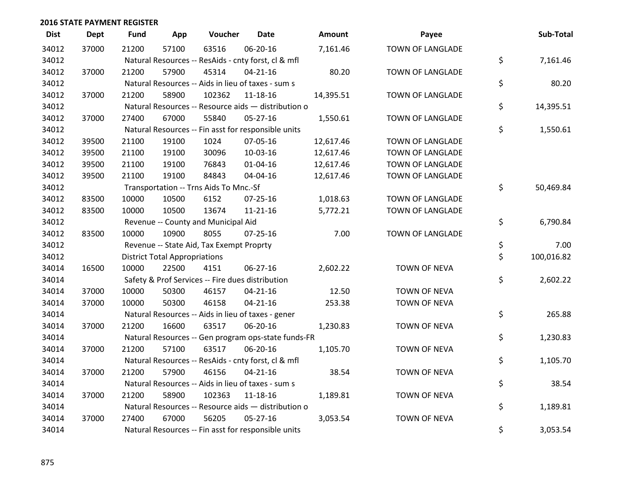| <b>Dist</b> | <b>Dept</b> | <b>Fund</b> | App                                  | Voucher                                             | Date           | <b>Amount</b> | Payee               | Sub-Total        |
|-------------|-------------|-------------|--------------------------------------|-----------------------------------------------------|----------------|---------------|---------------------|------------------|
| 34012       | 37000       | 21200       | 57100                                | 63516                                               | 06-20-16       | 7,161.46      | TOWN OF LANGLADE    |                  |
| 34012       |             |             |                                      | Natural Resources -- ResAids - cnty forst, cl & mfl |                |               |                     | \$<br>7,161.46   |
| 34012       | 37000       | 21200       | 57900                                | 45314                                               | $04 - 21 - 16$ | 80.20         | TOWN OF LANGLADE    |                  |
| 34012       |             |             |                                      | Natural Resources -- Aids in lieu of taxes - sum s  |                |               |                     | \$<br>80.20      |
| 34012       | 37000       | 21200       | 58900                                | 102362                                              | $11 - 18 - 16$ | 14,395.51     | TOWN OF LANGLADE    |                  |
| 34012       |             |             |                                      | Natural Resources -- Resource aids - distribution o |                |               |                     | \$<br>14,395.51  |
| 34012       | 37000       | 27400       | 67000                                | 55840                                               | $05 - 27 - 16$ | 1,550.61      | TOWN OF LANGLADE    |                  |
| 34012       |             |             |                                      | Natural Resources -- Fin asst for responsible units |                |               |                     | \$<br>1,550.61   |
| 34012       | 39500       | 21100       | 19100                                | 1024                                                | 07-05-16       | 12,617.46     | TOWN OF LANGLADE    |                  |
| 34012       | 39500       | 21100       | 19100                                | 30096                                               | 10-03-16       | 12,617.46     | TOWN OF LANGLADE    |                  |
| 34012       | 39500       | 21100       | 19100                                | 76843                                               | $01 - 04 - 16$ | 12,617.46     | TOWN OF LANGLADE    |                  |
| 34012       | 39500       | 21100       | 19100                                | 84843                                               | 04-04-16       | 12,617.46     | TOWN OF LANGLADE    |                  |
| 34012       |             |             |                                      | Transportation -- Trns Aids To Mnc.-Sf              |                |               |                     | \$<br>50,469.84  |
| 34012       | 83500       | 10000       | 10500                                | 6152                                                | 07-25-16       | 1,018.63      | TOWN OF LANGLADE    |                  |
| 34012       | 83500       | 10000       | 10500                                | 13674                                               | $11 - 21 - 16$ | 5,772.21      | TOWN OF LANGLADE    |                  |
| 34012       |             |             |                                      | Revenue -- County and Municipal Aid                 |                |               |                     | \$<br>6,790.84   |
| 34012       | 83500       | 10000       | 10900                                | 8055                                                | $07 - 25 - 16$ | 7.00          | TOWN OF LANGLADE    |                  |
| 34012       |             |             |                                      | Revenue -- State Aid, Tax Exempt Proprty            |                |               |                     | \$<br>7.00       |
| 34012       |             |             | <b>District Total Appropriations</b> |                                                     |                |               |                     | \$<br>100,016.82 |
| 34014       | 16500       | 10000       | 22500                                | 4151                                                | 06-27-16       | 2,602.22      | <b>TOWN OF NEVA</b> |                  |
| 34014       |             |             |                                      | Safety & Prof Services -- Fire dues distribution    |                |               |                     | \$<br>2,602.22   |
| 34014       | 37000       | 10000       | 50300                                | 46157                                               | $04 - 21 - 16$ | 12.50         | <b>TOWN OF NEVA</b> |                  |
| 34014       | 37000       | 10000       | 50300                                | 46158                                               | $04 - 21 - 16$ | 253.38        | TOWN OF NEVA        |                  |
| 34014       |             |             |                                      | Natural Resources -- Aids in lieu of taxes - gener  |                |               |                     | \$<br>265.88     |
| 34014       | 37000       | 21200       | 16600                                | 63517                                               | 06-20-16       | 1,230.83      | <b>TOWN OF NEVA</b> |                  |
| 34014       |             |             |                                      | Natural Resources -- Gen program ops-state funds-FR |                |               |                     | \$<br>1,230.83   |
| 34014       | 37000       | 21200       | 57100                                | 63517                                               | 06-20-16       | 1,105.70      | TOWN OF NEVA        |                  |
| 34014       |             |             |                                      | Natural Resources -- ResAids - cnty forst, cl & mfl |                |               |                     | \$<br>1,105.70   |
| 34014       | 37000       | 21200       | 57900                                | 46156                                               | $04 - 21 - 16$ | 38.54         | <b>TOWN OF NEVA</b> |                  |
| 34014       |             |             |                                      | Natural Resources -- Aids in lieu of taxes - sum s  |                |               |                     | \$<br>38.54      |
| 34014       | 37000       | 21200       | 58900                                | 102363                                              | 11-18-16       | 1,189.81      | <b>TOWN OF NEVA</b> |                  |
| 34014       |             |             |                                      | Natural Resources -- Resource aids - distribution o |                |               |                     | \$<br>1,189.81   |
| 34014       | 37000       | 27400       | 67000                                | 56205                                               | $05 - 27 - 16$ | 3,053.54      | <b>TOWN OF NEVA</b> |                  |
| 34014       |             |             |                                      | Natural Resources -- Fin asst for responsible units |                |               |                     | \$<br>3,053.54   |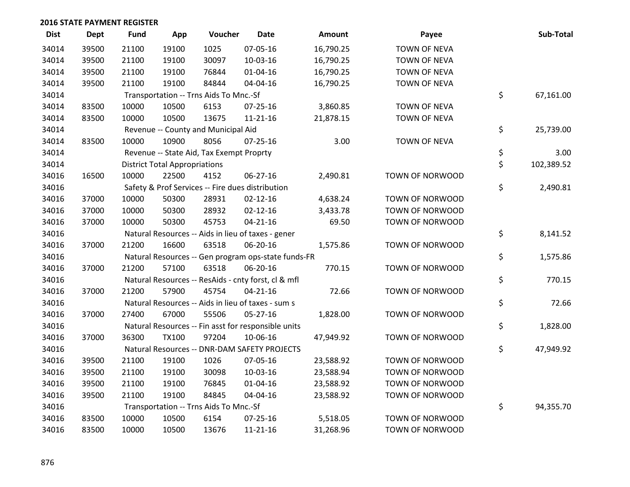| <b>Dist</b> | <b>Dept</b> | <b>Fund</b> | App                                  | Voucher                                  | <b>Date</b>                                         | Amount    | Payee               | Sub-Total        |
|-------------|-------------|-------------|--------------------------------------|------------------------------------------|-----------------------------------------------------|-----------|---------------------|------------------|
| 34014       | 39500       | 21100       | 19100                                | 1025                                     | 07-05-16                                            | 16,790.25 | <b>TOWN OF NEVA</b> |                  |
| 34014       | 39500       | 21100       | 19100                                | 30097                                    | 10-03-16                                            | 16,790.25 | <b>TOWN OF NEVA</b> |                  |
| 34014       | 39500       | 21100       | 19100                                | 76844                                    | $01 - 04 - 16$                                      | 16,790.25 | <b>TOWN OF NEVA</b> |                  |
| 34014       | 39500       | 21100       | 19100                                | 84844                                    | 04-04-16                                            | 16,790.25 | <b>TOWN OF NEVA</b> |                  |
| 34014       |             |             |                                      | Transportation -- Trns Aids To Mnc.-Sf   |                                                     |           |                     | \$<br>67,161.00  |
| 34014       | 83500       | 10000       | 10500                                | 6153                                     | $07 - 25 - 16$                                      | 3,860.85  | <b>TOWN OF NEVA</b> |                  |
| 34014       | 83500       | 10000       | 10500                                | 13675                                    | $11 - 21 - 16$                                      | 21,878.15 | <b>TOWN OF NEVA</b> |                  |
| 34014       |             |             |                                      | Revenue -- County and Municipal Aid      |                                                     |           |                     | \$<br>25,739.00  |
| 34014       | 83500       | 10000       | 10900                                | 8056                                     | $07 - 25 - 16$                                      | 3.00      | <b>TOWN OF NEVA</b> |                  |
| 34014       |             |             |                                      | Revenue -- State Aid, Tax Exempt Proprty |                                                     |           |                     | \$<br>3.00       |
| 34014       |             |             | <b>District Total Appropriations</b> |                                          |                                                     |           |                     | \$<br>102,389.52 |
| 34016       | 16500       | 10000       | 22500                                | 4152                                     | 06-27-16                                            | 2,490.81  | TOWN OF NORWOOD     |                  |
| 34016       |             |             |                                      |                                          | Safety & Prof Services -- Fire dues distribution    |           |                     | \$<br>2,490.81   |
| 34016       | 37000       | 10000       | 50300                                | 28931                                    | $02 - 12 - 16$                                      | 4,638.24  | TOWN OF NORWOOD     |                  |
| 34016       | 37000       | 10000       | 50300                                | 28932                                    | $02 - 12 - 16$                                      | 3,433.78  | TOWN OF NORWOOD     |                  |
| 34016       | 37000       | 10000       | 50300                                | 45753                                    | $04 - 21 - 16$                                      | 69.50     | TOWN OF NORWOOD     |                  |
| 34016       |             |             |                                      |                                          | Natural Resources -- Aids in lieu of taxes - gener  |           |                     | \$<br>8,141.52   |
| 34016       | 37000       | 21200       | 16600                                | 63518                                    | 06-20-16                                            | 1,575.86  | TOWN OF NORWOOD     |                  |
| 34016       |             |             |                                      |                                          | Natural Resources -- Gen program ops-state funds-FR |           |                     | \$<br>1,575.86   |
| 34016       | 37000       | 21200       | 57100                                | 63518                                    | 06-20-16                                            | 770.15    | TOWN OF NORWOOD     |                  |
| 34016       |             |             |                                      |                                          | Natural Resources -- ResAids - cnty forst, cl & mfl |           |                     | \$<br>770.15     |
| 34016       | 37000       | 21200       | 57900                                | 45754                                    | $04 - 21 - 16$                                      | 72.66     | TOWN OF NORWOOD     |                  |
| 34016       |             |             |                                      |                                          | Natural Resources -- Aids in lieu of taxes - sum s  |           |                     | \$<br>72.66      |
| 34016       | 37000       | 27400       | 67000                                | 55506                                    | $05 - 27 - 16$                                      | 1,828.00  | TOWN OF NORWOOD     |                  |
| 34016       |             |             |                                      |                                          | Natural Resources -- Fin asst for responsible units |           |                     | \$<br>1,828.00   |
| 34016       | 37000       | 36300       | <b>TX100</b>                         | 97204                                    | 10-06-16                                            | 47,949.92 | TOWN OF NORWOOD     |                  |
| 34016       |             |             |                                      |                                          | Natural Resources -- DNR-DAM SAFETY PROJECTS        |           |                     | \$<br>47,949.92  |
| 34016       | 39500       | 21100       | 19100                                | 1026                                     | 07-05-16                                            | 23,588.92 | TOWN OF NORWOOD     |                  |
| 34016       | 39500       | 21100       | 19100                                | 30098                                    | 10-03-16                                            | 23,588.94 | TOWN OF NORWOOD     |                  |
| 34016       | 39500       | 21100       | 19100                                | 76845                                    | $01 - 04 - 16$                                      | 23,588.92 | TOWN OF NORWOOD     |                  |
| 34016       | 39500       | 21100       | 19100                                | 84845                                    | 04-04-16                                            | 23,588.92 | TOWN OF NORWOOD     |                  |
| 34016       |             |             |                                      | Transportation -- Trns Aids To Mnc.-Sf   |                                                     |           |                     | \$<br>94,355.70  |
| 34016       | 83500       | 10000       | 10500                                | 6154                                     | 07-25-16                                            | 5,518.05  | TOWN OF NORWOOD     |                  |
| 34016       | 83500       | 10000       | 10500                                | 13676                                    | $11 - 21 - 16$                                      | 31,268.96 | TOWN OF NORWOOD     |                  |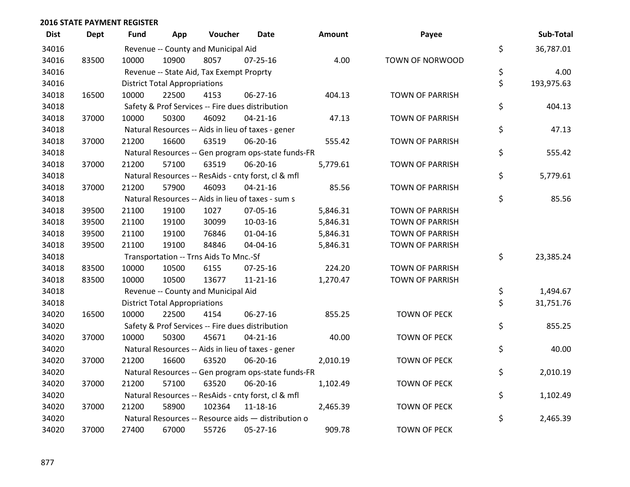| <b>Dist</b> | <b>Dept</b> | Fund  | App                                  | Voucher                                             | Date           | Amount   | Payee                  | Sub-Total        |
|-------------|-------------|-------|--------------------------------------|-----------------------------------------------------|----------------|----------|------------------------|------------------|
| 34016       |             |       |                                      | Revenue -- County and Municipal Aid                 |                |          |                        | \$<br>36,787.01  |
| 34016       | 83500       | 10000 | 10900                                | 8057                                                | $07 - 25 - 16$ | 4.00     | TOWN OF NORWOOD        |                  |
| 34016       |             |       |                                      | Revenue -- State Aid, Tax Exempt Proprty            |                |          |                        | \$<br>4.00       |
| 34016       |             |       | <b>District Total Appropriations</b> |                                                     |                |          |                        | \$<br>193,975.63 |
| 34018       | 16500       | 10000 | 22500                                | 4153                                                | 06-27-16       | 404.13   | <b>TOWN OF PARRISH</b> |                  |
| 34018       |             |       |                                      | Safety & Prof Services -- Fire dues distribution    |                |          |                        | \$<br>404.13     |
| 34018       | 37000       | 10000 | 50300                                | 46092                                               | $04 - 21 - 16$ | 47.13    | <b>TOWN OF PARRISH</b> |                  |
| 34018       |             |       |                                      | Natural Resources -- Aids in lieu of taxes - gener  |                |          |                        | \$<br>47.13      |
| 34018       | 37000       | 21200 | 16600                                | 63519                                               | 06-20-16       | 555.42   | <b>TOWN OF PARRISH</b> |                  |
| 34018       |             |       |                                      | Natural Resources -- Gen program ops-state funds-FR |                |          |                        | \$<br>555.42     |
| 34018       | 37000       | 21200 | 57100                                | 63519                                               | 06-20-16       | 5,779.61 | <b>TOWN OF PARRISH</b> |                  |
| 34018       |             |       |                                      | Natural Resources -- ResAids - cnty forst, cl & mfl |                |          |                        | \$<br>5,779.61   |
| 34018       | 37000       | 21200 | 57900                                | 46093                                               | $04 - 21 - 16$ | 85.56    | <b>TOWN OF PARRISH</b> |                  |
| 34018       |             |       |                                      | Natural Resources -- Aids in lieu of taxes - sum s  |                |          |                        | \$<br>85.56      |
| 34018       | 39500       | 21100 | 19100                                | 1027                                                | 07-05-16       | 5,846.31 | <b>TOWN OF PARRISH</b> |                  |
| 34018       | 39500       | 21100 | 19100                                | 30099                                               | 10-03-16       | 5,846.31 | <b>TOWN OF PARRISH</b> |                  |
| 34018       | 39500       | 21100 | 19100                                | 76846                                               | 01-04-16       | 5,846.31 | <b>TOWN OF PARRISH</b> |                  |
| 34018       | 39500       | 21100 | 19100                                | 84846                                               | 04-04-16       | 5,846.31 | <b>TOWN OF PARRISH</b> |                  |
| 34018       |             |       |                                      | Transportation -- Trns Aids To Mnc.-Sf              |                |          |                        | \$<br>23,385.24  |
| 34018       | 83500       | 10000 | 10500                                | 6155                                                | $07 - 25 - 16$ | 224.20   | <b>TOWN OF PARRISH</b> |                  |
| 34018       | 83500       | 10000 | 10500                                | 13677                                               | $11 - 21 - 16$ | 1,270.47 | <b>TOWN OF PARRISH</b> |                  |
| 34018       |             |       |                                      | Revenue -- County and Municipal Aid                 |                |          |                        | \$<br>1,494.67   |
| 34018       |             |       | <b>District Total Appropriations</b> |                                                     |                |          |                        | \$<br>31,751.76  |
| 34020       | 16500       | 10000 | 22500                                | 4154                                                | 06-27-16       | 855.25   | <b>TOWN OF PECK</b>    |                  |
| 34020       |             |       |                                      | Safety & Prof Services -- Fire dues distribution    |                |          |                        | \$<br>855.25     |
| 34020       | 37000       | 10000 | 50300                                | 45671                                               | $04 - 21 - 16$ | 40.00    | <b>TOWN OF PECK</b>    |                  |
| 34020       |             |       |                                      | Natural Resources -- Aids in lieu of taxes - gener  |                |          |                        | \$<br>40.00      |
| 34020       | 37000       | 21200 | 16600                                | 63520                                               | 06-20-16       | 2,010.19 | <b>TOWN OF PECK</b>    |                  |
| 34020       |             |       |                                      | Natural Resources -- Gen program ops-state funds-FR |                |          |                        | \$<br>2,010.19   |
| 34020       | 37000       | 21200 | 57100                                | 63520                                               | 06-20-16       | 1,102.49 | <b>TOWN OF PECK</b>    |                  |
| 34020       |             |       |                                      | Natural Resources -- ResAids - cnty forst, cl & mfl |                |          |                        | \$<br>1,102.49   |
| 34020       | 37000       | 21200 | 58900                                | 102364                                              | 11-18-16       | 2,465.39 | <b>TOWN OF PECK</b>    |                  |
| 34020       |             |       |                                      | Natural Resources -- Resource aids - distribution o |                |          |                        | \$<br>2,465.39   |
| 34020       | 37000       | 27400 | 67000                                | 55726                                               | 05-27-16       | 909.78   | <b>TOWN OF PECK</b>    |                  |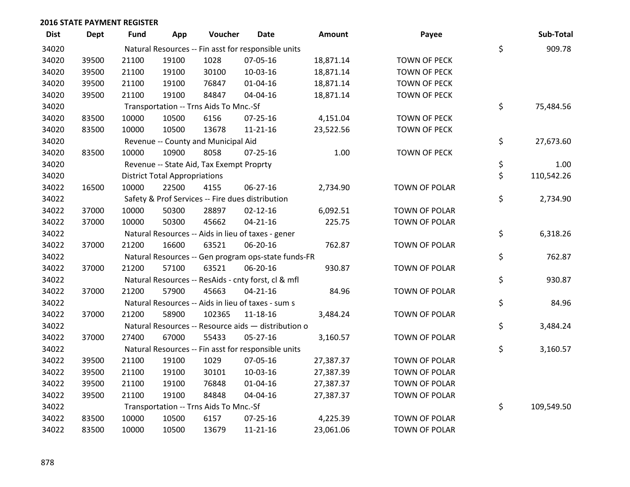| <b>Dist</b> | <b>Dept</b> | Fund  | App                                  | Voucher                                  | <b>Date</b>                                         | <b>Amount</b> | Payee                | Sub-Total        |
|-------------|-------------|-------|--------------------------------------|------------------------------------------|-----------------------------------------------------|---------------|----------------------|------------------|
| 34020       |             |       |                                      |                                          | Natural Resources -- Fin asst for responsible units |               |                      | \$<br>909.78     |
| 34020       | 39500       | 21100 | 19100                                | 1028                                     | 07-05-16                                            | 18,871.14     | <b>TOWN OF PECK</b>  |                  |
| 34020       | 39500       | 21100 | 19100                                | 30100                                    | 10-03-16                                            | 18,871.14     | <b>TOWN OF PECK</b>  |                  |
| 34020       | 39500       | 21100 | 19100                                | 76847                                    | $01 - 04 - 16$                                      | 18,871.14     | <b>TOWN OF PECK</b>  |                  |
| 34020       | 39500       | 21100 | 19100                                | 84847                                    | 04-04-16                                            | 18,871.14     | <b>TOWN OF PECK</b>  |                  |
| 34020       |             |       |                                      | Transportation -- Trns Aids To Mnc.-Sf   |                                                     |               |                      | \$<br>75,484.56  |
| 34020       | 83500       | 10000 | 10500                                | 6156                                     | $07 - 25 - 16$                                      | 4,151.04      | <b>TOWN OF PECK</b>  |                  |
| 34020       | 83500       | 10000 | 10500                                | 13678                                    | $11 - 21 - 16$                                      | 23,522.56     | <b>TOWN OF PECK</b>  |                  |
| 34020       |             |       |                                      | Revenue -- County and Municipal Aid      |                                                     |               |                      | \$<br>27,673.60  |
| 34020       | 83500       | 10000 | 10900                                | 8058                                     | 07-25-16                                            | 1.00          | <b>TOWN OF PECK</b>  |                  |
| 34020       |             |       |                                      | Revenue -- State Aid, Tax Exempt Proprty |                                                     |               |                      | \$<br>1.00       |
| 34020       |             |       | <b>District Total Appropriations</b> |                                          |                                                     |               |                      | \$<br>110,542.26 |
| 34022       | 16500       | 10000 | 22500                                | 4155                                     | $06 - 27 - 16$                                      | 2,734.90      | <b>TOWN OF POLAR</b> |                  |
| 34022       |             |       |                                      |                                          | Safety & Prof Services -- Fire dues distribution    |               |                      | \$<br>2,734.90   |
| 34022       | 37000       | 10000 | 50300                                | 28897                                    | $02 - 12 - 16$                                      | 6,092.51      | <b>TOWN OF POLAR</b> |                  |
| 34022       | 37000       | 10000 | 50300                                | 45662                                    | $04 - 21 - 16$                                      | 225.75        | TOWN OF POLAR        |                  |
| 34022       |             |       |                                      |                                          | Natural Resources -- Aids in lieu of taxes - gener  |               |                      | \$<br>6,318.26   |
| 34022       | 37000       | 21200 | 16600                                | 63521                                    | 06-20-16                                            | 762.87        | <b>TOWN OF POLAR</b> |                  |
| 34022       |             |       |                                      |                                          | Natural Resources -- Gen program ops-state funds-FR |               |                      | \$<br>762.87     |
| 34022       | 37000       | 21200 | 57100                                | 63521                                    | 06-20-16                                            | 930.87        | <b>TOWN OF POLAR</b> |                  |
| 34022       |             |       |                                      |                                          | Natural Resources -- ResAids - cnty forst, cl & mfl |               |                      | \$<br>930.87     |
| 34022       | 37000       | 21200 | 57900                                | 45663                                    | $04 - 21 - 16$                                      | 84.96         | TOWN OF POLAR        |                  |
| 34022       |             |       |                                      |                                          | Natural Resources -- Aids in lieu of taxes - sum s  |               |                      | \$<br>84.96      |
| 34022       | 37000       | 21200 | 58900                                | 102365                                   | 11-18-16                                            | 3,484.24      | TOWN OF POLAR        |                  |
| 34022       |             |       |                                      |                                          | Natural Resources -- Resource aids - distribution o |               |                      | \$<br>3,484.24   |
| 34022       | 37000       | 27400 | 67000                                | 55433                                    | $05-27-16$                                          | 3,160.57      | <b>TOWN OF POLAR</b> |                  |
| 34022       |             |       |                                      |                                          | Natural Resources -- Fin asst for responsible units |               |                      | \$<br>3,160.57   |
| 34022       | 39500       | 21100 | 19100                                | 1029                                     | 07-05-16                                            | 27,387.37     | TOWN OF POLAR        |                  |
| 34022       | 39500       | 21100 | 19100                                | 30101                                    | 10-03-16                                            | 27,387.39     | TOWN OF POLAR        |                  |
| 34022       | 39500       | 21100 | 19100                                | 76848                                    | $01 - 04 - 16$                                      | 27,387.37     | <b>TOWN OF POLAR</b> |                  |
| 34022       | 39500       | 21100 | 19100                                | 84848                                    | 04-04-16                                            | 27,387.37     | <b>TOWN OF POLAR</b> |                  |
| 34022       |             |       |                                      | Transportation -- Trns Aids To Mnc.-Sf   |                                                     |               |                      | \$<br>109,549.50 |
| 34022       | 83500       | 10000 | 10500                                | 6157                                     | 07-25-16                                            | 4,225.39      | <b>TOWN OF POLAR</b> |                  |
| 34022       | 83500       | 10000 | 10500                                | 13679                                    | 11-21-16                                            | 23,061.06     | <b>TOWN OF POLAR</b> |                  |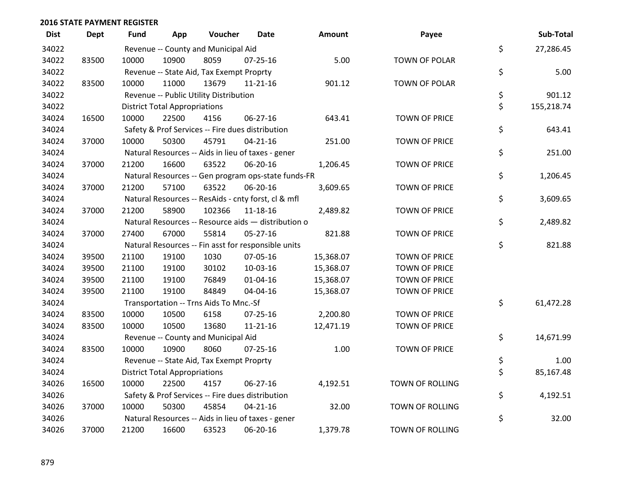| <b>Dist</b> | <b>Dept</b> | Fund  | App                                  | Voucher                                  | Date                                                | <b>Amount</b> | Payee                  | Sub-Total        |
|-------------|-------------|-------|--------------------------------------|------------------------------------------|-----------------------------------------------------|---------------|------------------------|------------------|
| 34022       |             |       |                                      | Revenue -- County and Municipal Aid      |                                                     |               |                        | \$<br>27,286.45  |
| 34022       | 83500       | 10000 | 10900                                | 8059                                     | $07 - 25 - 16$                                      | 5.00          | TOWN OF POLAR          |                  |
| 34022       |             |       |                                      | Revenue -- State Aid, Tax Exempt Proprty |                                                     |               |                        | \$<br>5.00       |
| 34022       | 83500       | 10000 | 11000                                | 13679                                    | $11 - 21 - 16$                                      | 901.12        | <b>TOWN OF POLAR</b>   |                  |
| 34022       |             |       |                                      | Revenue -- Public Utility Distribution   |                                                     |               |                        | \$<br>901.12     |
| 34022       |             |       | <b>District Total Appropriations</b> |                                          |                                                     |               |                        | \$<br>155,218.74 |
| 34024       | 16500       | 10000 | 22500                                | 4156                                     | 06-27-16                                            | 643.41        | <b>TOWN OF PRICE</b>   |                  |
| 34024       |             |       |                                      |                                          | Safety & Prof Services -- Fire dues distribution    |               |                        | \$<br>643.41     |
| 34024       | 37000       | 10000 | 50300                                | 45791                                    | $04 - 21 - 16$                                      | 251.00        | <b>TOWN OF PRICE</b>   |                  |
| 34024       |             |       |                                      |                                          | Natural Resources -- Aids in lieu of taxes - gener  |               |                        | \$<br>251.00     |
| 34024       | 37000       | 21200 | 16600                                | 63522                                    | 06-20-16                                            | 1,206.45      | <b>TOWN OF PRICE</b>   |                  |
| 34024       |             |       |                                      |                                          | Natural Resources -- Gen program ops-state funds-FR |               |                        | \$<br>1,206.45   |
| 34024       | 37000       | 21200 | 57100                                | 63522                                    | 06-20-16                                            | 3,609.65      | <b>TOWN OF PRICE</b>   |                  |
| 34024       |             |       |                                      |                                          | Natural Resources -- ResAids - cnty forst, cl & mfl |               |                        | \$<br>3,609.65   |
| 34024       | 37000       | 21200 | 58900                                | 102366                                   | $11 - 18 - 16$                                      | 2,489.82      | <b>TOWN OF PRICE</b>   |                  |
| 34024       |             |       |                                      |                                          | Natural Resources -- Resource aids - distribution o |               |                        | \$<br>2,489.82   |
| 34024       | 37000       | 27400 | 67000                                | 55814                                    | 05-27-16                                            | 821.88        | <b>TOWN OF PRICE</b>   |                  |
| 34024       |             |       |                                      |                                          | Natural Resources -- Fin asst for responsible units |               |                        | \$<br>821.88     |
| 34024       | 39500       | 21100 | 19100                                | 1030                                     | 07-05-16                                            | 15,368.07     | <b>TOWN OF PRICE</b>   |                  |
| 34024       | 39500       | 21100 | 19100                                | 30102                                    | 10-03-16                                            | 15,368.07     | <b>TOWN OF PRICE</b>   |                  |
| 34024       | 39500       | 21100 | 19100                                | 76849                                    | $01 - 04 - 16$                                      | 15,368.07     | <b>TOWN OF PRICE</b>   |                  |
| 34024       | 39500       | 21100 | 19100                                | 84849                                    | 04-04-16                                            | 15,368.07     | <b>TOWN OF PRICE</b>   |                  |
| 34024       |             |       |                                      | Transportation -- Trns Aids To Mnc.-Sf   |                                                     |               |                        | \$<br>61,472.28  |
| 34024       | 83500       | 10000 | 10500                                | 6158                                     | $07 - 25 - 16$                                      | 2,200.80      | <b>TOWN OF PRICE</b>   |                  |
| 34024       | 83500       | 10000 | 10500                                | 13680                                    | $11 - 21 - 16$                                      | 12,471.19     | <b>TOWN OF PRICE</b>   |                  |
| 34024       |             |       |                                      | Revenue -- County and Municipal Aid      |                                                     |               |                        | \$<br>14,671.99  |
| 34024       | 83500       | 10000 | 10900                                | 8060                                     | $07 - 25 - 16$                                      | 1.00          | <b>TOWN OF PRICE</b>   |                  |
| 34024       |             |       |                                      | Revenue -- State Aid, Tax Exempt Proprty |                                                     |               |                        | \$<br>1.00       |
| 34024       |             |       | <b>District Total Appropriations</b> |                                          |                                                     |               |                        | \$<br>85,167.48  |
| 34026       | 16500       | 10000 | 22500                                | 4157                                     | $06 - 27 - 16$                                      | 4,192.51      | TOWN OF ROLLING        |                  |
| 34026       |             |       |                                      |                                          | Safety & Prof Services -- Fire dues distribution    |               |                        | \$<br>4,192.51   |
| 34026       | 37000       | 10000 | 50300                                | 45854                                    | $04 - 21 - 16$                                      | 32.00         | <b>TOWN OF ROLLING</b> |                  |
| 34026       |             |       |                                      |                                          | Natural Resources -- Aids in lieu of taxes - gener  |               |                        | \$<br>32.00      |
| 34026       | 37000       | 21200 | 16600                                | 63523                                    | 06-20-16                                            | 1,379.78      | <b>TOWN OF ROLLING</b> |                  |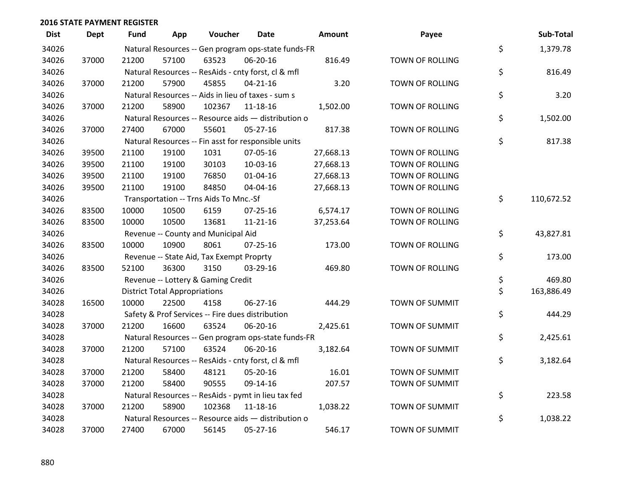| <b>Dist</b> | <b>Dept</b> | Fund  | App                                  | Voucher                                  | Date                                                | <b>Amount</b> | Payee                  | Sub-Total        |
|-------------|-------------|-------|--------------------------------------|------------------------------------------|-----------------------------------------------------|---------------|------------------------|------------------|
| 34026       |             |       |                                      |                                          | Natural Resources -- Gen program ops-state funds-FR |               |                        | \$<br>1,379.78   |
| 34026       | 37000       | 21200 | 57100                                | 63523                                    | 06-20-16                                            | 816.49        | <b>TOWN OF ROLLING</b> |                  |
| 34026       |             |       |                                      |                                          | Natural Resources -- ResAids - cnty forst, cl & mfl |               |                        | \$<br>816.49     |
| 34026       | 37000       | 21200 | 57900                                | 45855                                    | $04 - 21 - 16$                                      | 3.20          | <b>TOWN OF ROLLING</b> |                  |
| 34026       |             |       |                                      |                                          | Natural Resources -- Aids in lieu of taxes - sum s  |               |                        | \$<br>3.20       |
| 34026       | 37000       | 21200 | 58900                                | 102367                                   | 11-18-16                                            | 1,502.00      | TOWN OF ROLLING        |                  |
| 34026       |             |       |                                      |                                          | Natural Resources -- Resource aids - distribution o |               |                        | \$<br>1,502.00   |
| 34026       | 37000       | 27400 | 67000                                | 55601                                    | $05 - 27 - 16$                                      | 817.38        | <b>TOWN OF ROLLING</b> |                  |
| 34026       |             |       |                                      |                                          | Natural Resources -- Fin asst for responsible units |               |                        | \$<br>817.38     |
| 34026       | 39500       | 21100 | 19100                                | 1031                                     | 07-05-16                                            | 27,668.13     | TOWN OF ROLLING        |                  |
| 34026       | 39500       | 21100 | 19100                                | 30103                                    | 10-03-16                                            | 27,668.13     | TOWN OF ROLLING        |                  |
| 34026       | 39500       | 21100 | 19100                                | 76850                                    | $01 - 04 - 16$                                      | 27,668.13     | <b>TOWN OF ROLLING</b> |                  |
| 34026       | 39500       | 21100 | 19100                                | 84850                                    | 04-04-16                                            | 27,668.13     | TOWN OF ROLLING        |                  |
| 34026       |             |       |                                      | Transportation -- Trns Aids To Mnc.-Sf   |                                                     |               |                        | \$<br>110,672.52 |
| 34026       | 83500       | 10000 | 10500                                | 6159                                     | $07 - 25 - 16$                                      | 6,574.17      | TOWN OF ROLLING        |                  |
| 34026       | 83500       | 10000 | 10500                                | 13681                                    | $11 - 21 - 16$                                      | 37,253.64     | <b>TOWN OF ROLLING</b> |                  |
| 34026       |             |       |                                      | Revenue -- County and Municipal Aid      |                                                     |               |                        | \$<br>43,827.81  |
| 34026       | 83500       | 10000 | 10900                                | 8061                                     | 07-25-16                                            | 173.00        | TOWN OF ROLLING        |                  |
| 34026       |             |       |                                      | Revenue -- State Aid, Tax Exempt Proprty |                                                     |               |                        | \$<br>173.00     |
| 34026       | 83500       | 52100 | 36300                                | 3150                                     | 03-29-16                                            | 469.80        | <b>TOWN OF ROLLING</b> |                  |
| 34026       |             |       |                                      | Revenue -- Lottery & Gaming Credit       |                                                     |               |                        | \$<br>469.80     |
| 34026       |             |       | <b>District Total Appropriations</b> |                                          |                                                     |               |                        | \$<br>163,886.49 |
| 34028       | 16500       | 10000 | 22500                                | 4158                                     | 06-27-16                                            | 444.29        | TOWN OF SUMMIT         |                  |
| 34028       |             |       |                                      |                                          | Safety & Prof Services -- Fire dues distribution    |               |                        | \$<br>444.29     |
| 34028       | 37000       | 21200 | 16600                                | 63524                                    | 06-20-16                                            | 2,425.61      | TOWN OF SUMMIT         |                  |
| 34028       |             |       |                                      |                                          | Natural Resources -- Gen program ops-state funds-FR |               |                        | \$<br>2,425.61   |
| 34028       | 37000       | 21200 | 57100                                | 63524                                    | 06-20-16                                            | 3,182.64      | <b>TOWN OF SUMMIT</b>  |                  |
| 34028       |             |       |                                      |                                          | Natural Resources -- ResAids - cnty forst, cl & mfl |               |                        | \$<br>3,182.64   |
| 34028       | 37000       | 21200 | 58400                                | 48121                                    | 05-20-16                                            | 16.01         | <b>TOWN OF SUMMIT</b>  |                  |
| 34028       | 37000       | 21200 | 58400                                | 90555                                    | 09-14-16                                            | 207.57        | TOWN OF SUMMIT         |                  |
| 34028       |             |       |                                      |                                          | Natural Resources -- ResAids - pymt in lieu tax fed |               |                        | \$<br>223.58     |
| 34028       | 37000       | 21200 | 58900                                | 102368                                   | 11-18-16                                            | 1,038.22      | <b>TOWN OF SUMMIT</b>  |                  |
| 34028       |             |       |                                      |                                          | Natural Resources -- Resource aids - distribution o |               |                        | \$<br>1,038.22   |
| 34028       | 37000       | 27400 | 67000                                | 56145                                    | 05-27-16                                            | 546.17        | <b>TOWN OF SUMMIT</b>  |                  |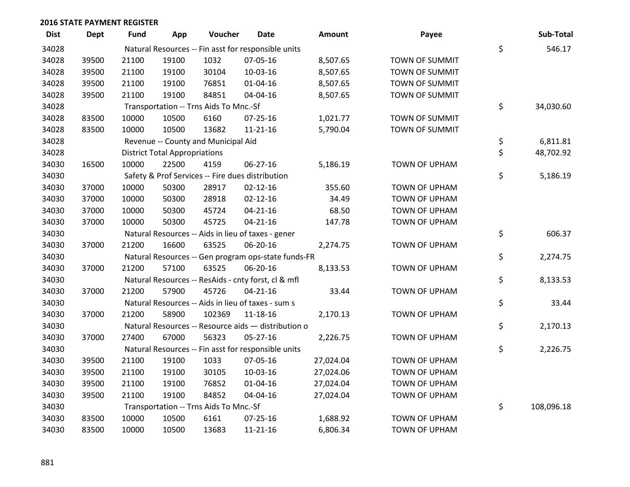| <b>Dist</b> | <b>Dept</b> | Fund  | App                                  | Voucher                                | <b>Date</b>                                         | <b>Amount</b> | Payee                 | Sub-Total        |
|-------------|-------------|-------|--------------------------------------|----------------------------------------|-----------------------------------------------------|---------------|-----------------------|------------------|
| 34028       |             |       |                                      |                                        | Natural Resources -- Fin asst for responsible units |               |                       | \$<br>546.17     |
| 34028       | 39500       | 21100 | 19100                                | 1032                                   | 07-05-16                                            | 8,507.65      | TOWN OF SUMMIT        |                  |
| 34028       | 39500       | 21100 | 19100                                | 30104                                  | 10-03-16                                            | 8,507.65      | TOWN OF SUMMIT        |                  |
| 34028       | 39500       | 21100 | 19100                                | 76851                                  | $01 - 04 - 16$                                      | 8,507.65      | TOWN OF SUMMIT        |                  |
| 34028       | 39500       | 21100 | 19100                                | 84851                                  | 04-04-16                                            | 8,507.65      | TOWN OF SUMMIT        |                  |
| 34028       |             |       |                                      | Transportation -- Trns Aids To Mnc.-Sf |                                                     |               |                       | \$<br>34,030.60  |
| 34028       | 83500       | 10000 | 10500                                | 6160                                   | $07 - 25 - 16$                                      | 1,021.77      | <b>TOWN OF SUMMIT</b> |                  |
| 34028       | 83500       | 10000 | 10500                                | 13682                                  | $11 - 21 - 16$                                      | 5,790.04      | <b>TOWN OF SUMMIT</b> |                  |
| 34028       |             |       |                                      | Revenue -- County and Municipal Aid    |                                                     |               |                       | \$<br>6,811.81   |
| 34028       |             |       | <b>District Total Appropriations</b> |                                        |                                                     |               |                       | \$<br>48,702.92  |
| 34030       | 16500       | 10000 | 22500                                | 4159                                   | 06-27-16                                            | 5,186.19      | <b>TOWN OF UPHAM</b>  |                  |
| 34030       |             |       |                                      |                                        | Safety & Prof Services -- Fire dues distribution    |               |                       | \$<br>5,186.19   |
| 34030       | 37000       | 10000 | 50300                                | 28917                                  | $02 - 12 - 16$                                      | 355.60        | TOWN OF UPHAM         |                  |
| 34030       | 37000       | 10000 | 50300                                | 28918                                  | $02 - 12 - 16$                                      | 34.49         | TOWN OF UPHAM         |                  |
| 34030       | 37000       | 10000 | 50300                                | 45724                                  | $04 - 21 - 16$                                      | 68.50         | TOWN OF UPHAM         |                  |
| 34030       | 37000       | 10000 | 50300                                | 45725                                  | $04 - 21 - 16$                                      | 147.78        | <b>TOWN OF UPHAM</b>  |                  |
| 34030       |             |       |                                      |                                        | Natural Resources -- Aids in lieu of taxes - gener  |               |                       | \$<br>606.37     |
| 34030       | 37000       | 21200 | 16600                                | 63525                                  | 06-20-16                                            | 2,274.75      | TOWN OF UPHAM         |                  |
| 34030       |             |       |                                      |                                        | Natural Resources -- Gen program ops-state funds-FR |               |                       | \$<br>2,274.75   |
| 34030       | 37000       | 21200 | 57100                                | 63525                                  | 06-20-16                                            | 8,133.53      | TOWN OF UPHAM         |                  |
| 34030       |             |       |                                      |                                        | Natural Resources -- ResAids - cnty forst, cl & mfl |               |                       | \$<br>8,133.53   |
| 34030       | 37000       | 21200 | 57900                                | 45726                                  | $04 - 21 - 16$                                      | 33.44         | TOWN OF UPHAM         |                  |
| 34030       |             |       |                                      |                                        | Natural Resources -- Aids in lieu of taxes - sum s  |               |                       | \$<br>33.44      |
| 34030       | 37000       | 21200 | 58900                                | 102369                                 | $11 - 18 - 16$                                      | 2,170.13      | TOWN OF UPHAM         |                  |
| 34030       |             |       |                                      |                                        | Natural Resources -- Resource aids - distribution o |               |                       | \$<br>2,170.13   |
| 34030       | 37000       | 27400 | 67000                                | 56323                                  | 05-27-16                                            | 2,226.75      | <b>TOWN OF UPHAM</b>  |                  |
| 34030       |             |       |                                      |                                        | Natural Resources -- Fin asst for responsible units |               |                       | \$<br>2,226.75   |
| 34030       | 39500       | 21100 | 19100                                | 1033                                   | 07-05-16                                            | 27,024.04     | TOWN OF UPHAM         |                  |
| 34030       | 39500       | 21100 | 19100                                | 30105                                  | 10-03-16                                            | 27,024.06     | TOWN OF UPHAM         |                  |
| 34030       | 39500       | 21100 | 19100                                | 76852                                  | $01 - 04 - 16$                                      | 27,024.04     | TOWN OF UPHAM         |                  |
| 34030       | 39500       | 21100 | 19100                                | 84852                                  | 04-04-16                                            | 27,024.04     | TOWN OF UPHAM         |                  |
| 34030       |             |       |                                      | Transportation -- Trns Aids To Mnc.-Sf |                                                     |               |                       | \$<br>108,096.18 |
| 34030       | 83500       | 10000 | 10500                                | 6161                                   | $07 - 25 - 16$                                      | 1,688.92      | TOWN OF UPHAM         |                  |
| 34030       | 83500       | 10000 | 10500                                | 13683                                  | 11-21-16                                            | 6,806.34      | <b>TOWN OF UPHAM</b>  |                  |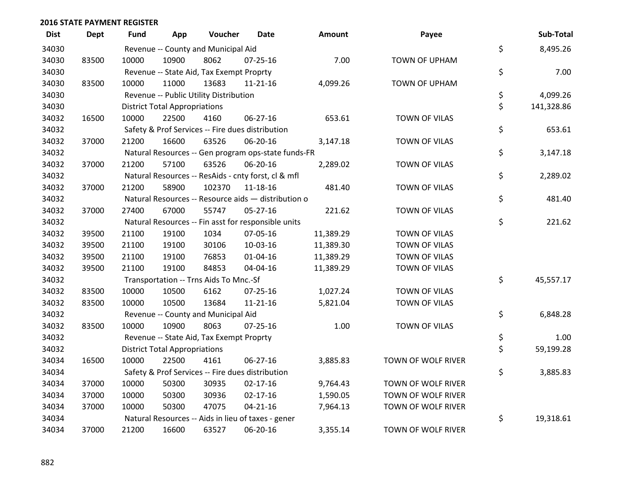| <b>Dist</b> | <b>Dept</b> | <b>Fund</b> | App                                  | Voucher                                  | <b>Date</b>                                         | Amount    | Payee                | Sub-Total        |
|-------------|-------------|-------------|--------------------------------------|------------------------------------------|-----------------------------------------------------|-----------|----------------------|------------------|
| 34030       |             |             |                                      | Revenue -- County and Municipal Aid      |                                                     |           |                      | \$<br>8,495.26   |
| 34030       | 83500       | 10000       | 10900                                | 8062                                     | $07 - 25 - 16$                                      | 7.00      | <b>TOWN OF UPHAM</b> |                  |
| 34030       |             |             |                                      | Revenue -- State Aid, Tax Exempt Proprty |                                                     |           |                      | \$<br>7.00       |
| 34030       | 83500       | 10000       | 11000                                | 13683                                    | $11 - 21 - 16$                                      | 4,099.26  | TOWN OF UPHAM        |                  |
| 34030       |             |             |                                      | Revenue -- Public Utility Distribution   |                                                     |           |                      | \$<br>4,099.26   |
| 34030       |             |             | <b>District Total Appropriations</b> |                                          |                                                     |           |                      | \$<br>141,328.86 |
| 34032       | 16500       | 10000       | 22500                                | 4160                                     | 06-27-16                                            | 653.61    | <b>TOWN OF VILAS</b> |                  |
| 34032       |             |             |                                      |                                          | Safety & Prof Services -- Fire dues distribution    |           |                      | \$<br>653.61     |
| 34032       | 37000       | 21200       | 16600                                | 63526                                    | 06-20-16                                            | 3,147.18  | TOWN OF VILAS        |                  |
| 34032       |             |             |                                      |                                          | Natural Resources -- Gen program ops-state funds-FR |           |                      | \$<br>3,147.18   |
| 34032       | 37000       | 21200       | 57100                                | 63526                                    | 06-20-16                                            | 2,289.02  | TOWN OF VILAS        |                  |
| 34032       |             |             |                                      |                                          | Natural Resources -- ResAids - cnty forst, cl & mfl |           |                      | \$<br>2,289.02   |
| 34032       | 37000       | 21200       | 58900                                | 102370                                   | 11-18-16                                            | 481.40    | <b>TOWN OF VILAS</b> |                  |
| 34032       |             |             |                                      |                                          | Natural Resources -- Resource aids - distribution o |           |                      | \$<br>481.40     |
| 34032       | 37000       | 27400       | 67000                                | 55747                                    | $05 - 27 - 16$                                      | 221.62    | TOWN OF VILAS        |                  |
| 34032       |             |             |                                      |                                          | Natural Resources -- Fin asst for responsible units |           |                      | \$<br>221.62     |
| 34032       | 39500       | 21100       | 19100                                | 1034                                     | 07-05-16                                            | 11,389.29 | <b>TOWN OF VILAS</b> |                  |
| 34032       | 39500       | 21100       | 19100                                | 30106                                    | 10-03-16                                            | 11,389.30 | <b>TOWN OF VILAS</b> |                  |
| 34032       | 39500       | 21100       | 19100                                | 76853                                    | $01 - 04 - 16$                                      | 11,389.29 | TOWN OF VILAS        |                  |
| 34032       | 39500       | 21100       | 19100                                | 84853                                    | 04-04-16                                            | 11,389.29 | TOWN OF VILAS        |                  |
| 34032       |             |             |                                      | Transportation -- Trns Aids To Mnc.-Sf   |                                                     |           |                      | \$<br>45,557.17  |
| 34032       | 83500       | 10000       | 10500                                | 6162                                     | $07 - 25 - 16$                                      | 1,027.24  | <b>TOWN OF VILAS</b> |                  |
| 34032       | 83500       | 10000       | 10500                                | 13684                                    | $11 - 21 - 16$                                      | 5,821.04  | TOWN OF VILAS        |                  |
| 34032       |             |             |                                      | Revenue -- County and Municipal Aid      |                                                     |           |                      | \$<br>6,848.28   |
| 34032       | 83500       | 10000       | 10900                                | 8063                                     | $07 - 25 - 16$                                      | 1.00      | <b>TOWN OF VILAS</b> |                  |
| 34032       |             |             |                                      | Revenue -- State Aid, Tax Exempt Proprty |                                                     |           |                      | \$<br>1.00       |
| 34032       |             |             | <b>District Total Appropriations</b> |                                          |                                                     |           |                      | \$<br>59,199.28  |
| 34034       | 16500       | 10000       | 22500                                | 4161                                     | 06-27-16                                            | 3,885.83  | TOWN OF WOLF RIVER   |                  |
| 34034       |             |             |                                      |                                          | Safety & Prof Services -- Fire dues distribution    |           |                      | \$<br>3,885.83   |
| 34034       | 37000       | 10000       | 50300                                | 30935                                    | $02 - 17 - 16$                                      | 9,764.43  | TOWN OF WOLF RIVER   |                  |
| 34034       | 37000       | 10000       | 50300                                | 30936                                    | $02 - 17 - 16$                                      | 1,590.05  | TOWN OF WOLF RIVER   |                  |
| 34034       | 37000       | 10000       | 50300                                | 47075                                    | $04 - 21 - 16$                                      | 7,964.13  | TOWN OF WOLF RIVER   |                  |
| 34034       |             |             |                                      |                                          | Natural Resources -- Aids in lieu of taxes - gener  |           |                      | \$<br>19,318.61  |
| 34034       | 37000       | 21200       | 16600                                | 63527                                    | 06-20-16                                            | 3,355.14  | TOWN OF WOLF RIVER   |                  |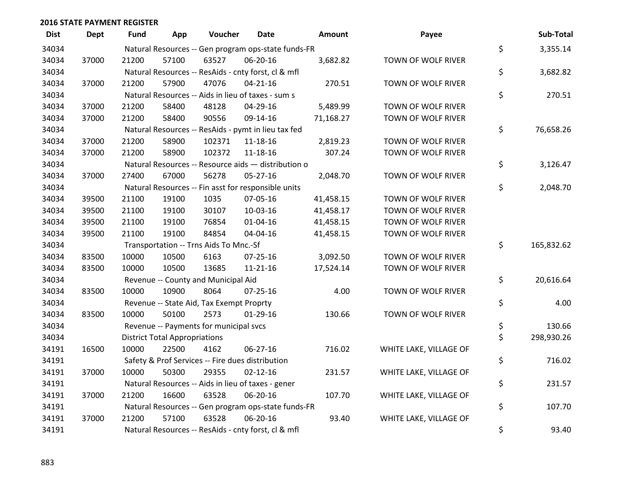| <b>Dist</b> | Dept  | Fund  | App                                  | Voucher                                             | <b>Date</b>    | <b>Amount</b> | Payee                  | Sub-Total        |
|-------------|-------|-------|--------------------------------------|-----------------------------------------------------|----------------|---------------|------------------------|------------------|
| 34034       |       |       |                                      | Natural Resources -- Gen program ops-state funds-FR |                |               |                        | \$<br>3,355.14   |
| 34034       | 37000 | 21200 | 57100                                | 63527                                               | 06-20-16       | 3,682.82      | TOWN OF WOLF RIVER     |                  |
| 34034       |       |       |                                      | Natural Resources -- ResAids - cnty forst, cl & mfl |                |               |                        | \$<br>3,682.82   |
| 34034       | 37000 | 21200 | 57900                                | 47076                                               | $04 - 21 - 16$ | 270.51        | TOWN OF WOLF RIVER     |                  |
| 34034       |       |       |                                      | Natural Resources -- Aids in lieu of taxes - sum s  |                |               |                        | \$<br>270.51     |
| 34034       | 37000 | 21200 | 58400                                | 48128                                               | 04-29-16       | 5,489.99      | TOWN OF WOLF RIVER     |                  |
| 34034       | 37000 | 21200 | 58400                                | 90556                                               | 09-14-16       | 71,168.27     | TOWN OF WOLF RIVER     |                  |
| 34034       |       |       |                                      | Natural Resources -- ResAids - pymt in lieu tax fed |                |               |                        | \$<br>76,658.26  |
| 34034       | 37000 | 21200 | 58900                                | 102371                                              | 11-18-16       | 2,819.23      | TOWN OF WOLF RIVER     |                  |
| 34034       | 37000 | 21200 | 58900                                | 102372                                              | 11-18-16       | 307.24        | TOWN OF WOLF RIVER     |                  |
| 34034       |       |       |                                      | Natural Resources -- Resource aids - distribution o |                |               |                        | \$<br>3,126.47   |
| 34034       | 37000 | 27400 | 67000                                | 56278                                               | $05 - 27 - 16$ | 2,048.70      | TOWN OF WOLF RIVER     |                  |
| 34034       |       |       |                                      | Natural Resources -- Fin asst for responsible units |                |               |                        | \$<br>2,048.70   |
| 34034       | 39500 | 21100 | 19100                                | 1035                                                | 07-05-16       | 41,458.15     | TOWN OF WOLF RIVER     |                  |
| 34034       | 39500 | 21100 | 19100                                | 30107                                               | 10-03-16       | 41,458.17     | TOWN OF WOLF RIVER     |                  |
| 34034       | 39500 | 21100 | 19100                                | 76854                                               | $01 - 04 - 16$ | 41,458.15     | TOWN OF WOLF RIVER     |                  |
| 34034       | 39500 | 21100 | 19100                                | 84854                                               | 04-04-16       | 41,458.15     | TOWN OF WOLF RIVER     |                  |
| 34034       |       |       |                                      | Transportation -- Trns Aids To Mnc.-Sf              |                |               |                        | \$<br>165,832.62 |
| 34034       | 83500 | 10000 | 10500                                | 6163                                                | 07-25-16       | 3,092.50      | TOWN OF WOLF RIVER     |                  |
| 34034       | 83500 | 10000 | 10500                                | 13685                                               | $11 - 21 - 16$ | 17,524.14     | TOWN OF WOLF RIVER     |                  |
| 34034       |       |       |                                      | Revenue -- County and Municipal Aid                 |                |               |                        | \$<br>20,616.64  |
| 34034       | 83500 | 10000 | 10900                                | 8064                                                | $07 - 25 - 16$ | 4.00          | TOWN OF WOLF RIVER     |                  |
| 34034       |       |       |                                      | Revenue -- State Aid, Tax Exempt Proprty            |                |               |                        | \$<br>4.00       |
| 34034       | 83500 | 10000 | 50100                                | 2573                                                | $01-29-16$     | 130.66        | TOWN OF WOLF RIVER     |                  |
| 34034       |       |       |                                      | Revenue -- Payments for municipal svcs              |                |               |                        | \$<br>130.66     |
| 34034       |       |       | <b>District Total Appropriations</b> |                                                     |                |               |                        | \$<br>298,930.26 |
| 34191       | 16500 | 10000 | 22500                                | 4162                                                | 06-27-16       | 716.02        | WHITE LAKE, VILLAGE OF |                  |
| 34191       |       |       |                                      | Safety & Prof Services -- Fire dues distribution    |                |               |                        | \$<br>716.02     |
| 34191       | 37000 | 10000 | 50300                                | 29355                                               | $02 - 12 - 16$ | 231.57        | WHITE LAKE, VILLAGE OF |                  |
| 34191       |       |       |                                      | Natural Resources -- Aids in lieu of taxes - gener  |                |               |                        | \$<br>231.57     |
| 34191       | 37000 | 21200 | 16600                                | 63528                                               | 06-20-16       | 107.70        | WHITE LAKE, VILLAGE OF |                  |
| 34191       |       |       |                                      | Natural Resources -- Gen program ops-state funds-FR |                |               |                        | \$<br>107.70     |
| 34191       | 37000 | 21200 | 57100                                | 63528                                               | 06-20-16       | 93.40         | WHITE LAKE, VILLAGE OF |                  |
| 34191       |       |       |                                      | Natural Resources -- ResAids - cnty forst, cl & mfl |                |               |                        | \$<br>93.40      |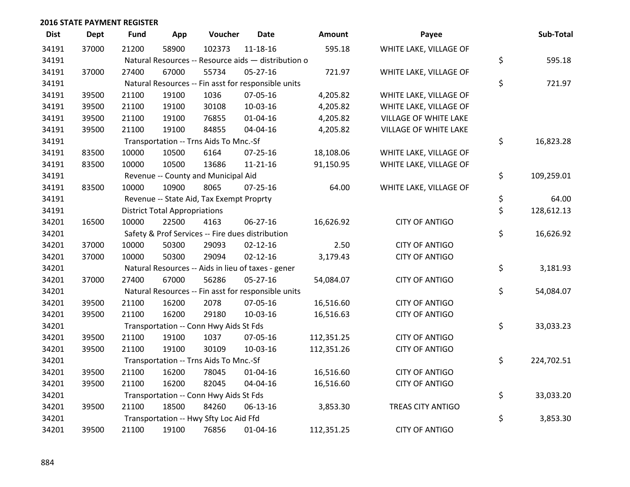| <b>Dist</b> | <b>Dept</b> | <b>Fund</b> | App                                  | Voucher                                             | Date           | Amount     | Payee                        | Sub-Total        |
|-------------|-------------|-------------|--------------------------------------|-----------------------------------------------------|----------------|------------|------------------------------|------------------|
| 34191       | 37000       | 21200       | 58900                                | 102373                                              | $11 - 18 - 16$ | 595.18     | WHITE LAKE, VILLAGE OF       |                  |
| 34191       |             |             |                                      | Natural Resources -- Resource aids - distribution o |                |            |                              | \$<br>595.18     |
| 34191       | 37000       | 27400       | 67000                                | 55734                                               | $05 - 27 - 16$ | 721.97     | WHITE LAKE, VILLAGE OF       |                  |
| 34191       |             |             |                                      | Natural Resources -- Fin asst for responsible units |                |            |                              | \$<br>721.97     |
| 34191       | 39500       | 21100       | 19100                                | 1036                                                | 07-05-16       | 4,205.82   | WHITE LAKE, VILLAGE OF       |                  |
| 34191       | 39500       | 21100       | 19100                                | 30108                                               | 10-03-16       | 4,205.82   | WHITE LAKE, VILLAGE OF       |                  |
| 34191       | 39500       | 21100       | 19100                                | 76855                                               | $01 - 04 - 16$ | 4,205.82   | VILLAGE OF WHITE LAKE        |                  |
| 34191       | 39500       | 21100       | 19100                                | 84855                                               | 04-04-16       | 4,205.82   | <b>VILLAGE OF WHITE LAKE</b> |                  |
| 34191       |             |             |                                      | Transportation -- Trns Aids To Mnc.-Sf              |                |            |                              | \$<br>16,823.28  |
| 34191       | 83500       | 10000       | 10500                                | 6164                                                | $07 - 25 - 16$ | 18,108.06  | WHITE LAKE, VILLAGE OF       |                  |
| 34191       | 83500       | 10000       | 10500                                | 13686                                               | $11 - 21 - 16$ | 91,150.95  | WHITE LAKE, VILLAGE OF       |                  |
| 34191       |             |             |                                      | Revenue -- County and Municipal Aid                 |                |            |                              | \$<br>109,259.01 |
| 34191       | 83500       | 10000       | 10900                                | 8065                                                | $07 - 25 - 16$ | 64.00      | WHITE LAKE, VILLAGE OF       |                  |
| 34191       |             |             |                                      | Revenue -- State Aid, Tax Exempt Proprty            |                |            |                              | \$<br>64.00      |
| 34191       |             |             | <b>District Total Appropriations</b> |                                                     |                |            |                              | \$<br>128,612.13 |
| 34201       | 16500       | 10000       | 22500                                | 4163                                                | 06-27-16       | 16,626.92  | <b>CITY OF ANTIGO</b>        |                  |
| 34201       |             |             |                                      | Safety & Prof Services -- Fire dues distribution    |                |            |                              | \$<br>16,626.92  |
| 34201       | 37000       | 10000       | 50300                                | 29093                                               | $02 - 12 - 16$ | 2.50       | <b>CITY OF ANTIGO</b>        |                  |
| 34201       | 37000       | 10000       | 50300                                | 29094                                               | $02 - 12 - 16$ | 3,179.43   | <b>CITY OF ANTIGO</b>        |                  |
| 34201       |             |             |                                      | Natural Resources -- Aids in lieu of taxes - gener  |                |            |                              | \$<br>3,181.93   |
| 34201       | 37000       | 27400       | 67000                                | 56286                                               | 05-27-16       | 54,084.07  | <b>CITY OF ANTIGO</b>        |                  |
| 34201       |             |             |                                      | Natural Resources -- Fin asst for responsible units |                |            |                              | \$<br>54,084.07  |
| 34201       | 39500       | 21100       | 16200                                | 2078                                                | 07-05-16       | 16,516.60  | <b>CITY OF ANTIGO</b>        |                  |
| 34201       | 39500       | 21100       | 16200                                | 29180                                               | 10-03-16       | 16,516.63  | <b>CITY OF ANTIGO</b>        |                  |
| 34201       |             |             |                                      | Transportation -- Conn Hwy Aids St Fds              |                |            |                              | \$<br>33,033.23  |
| 34201       | 39500       | 21100       | 19100                                | 1037                                                | 07-05-16       | 112,351.25 | <b>CITY OF ANTIGO</b>        |                  |
| 34201       | 39500       | 21100       | 19100                                | 30109                                               | 10-03-16       | 112,351.26 | <b>CITY OF ANTIGO</b>        |                  |
| 34201       |             |             |                                      | Transportation -- Trns Aids To Mnc.-Sf              |                |            |                              | \$<br>224,702.51 |
| 34201       | 39500       | 21100       | 16200                                | 78045                                               | 01-04-16       | 16,516.60  | <b>CITY OF ANTIGO</b>        |                  |
| 34201       | 39500       | 21100       | 16200                                | 82045                                               | 04-04-16       | 16,516.60  | <b>CITY OF ANTIGO</b>        |                  |
| 34201       |             |             |                                      | Transportation -- Conn Hwy Aids St Fds              |                |            |                              | \$<br>33,033.20  |
| 34201       | 39500       | 21100       | 18500                                | 84260                                               | $06-13-16$     | 3,853.30   | TREAS CITY ANTIGO            |                  |
| 34201       |             |             |                                      | Transportation -- Hwy Sfty Loc Aid Ffd              |                |            |                              | \$<br>3,853.30   |
| 34201       | 39500       | 21100       | 19100                                | 76856                                               | 01-04-16       | 112,351.25 | <b>CITY OF ANTIGO</b>        |                  |